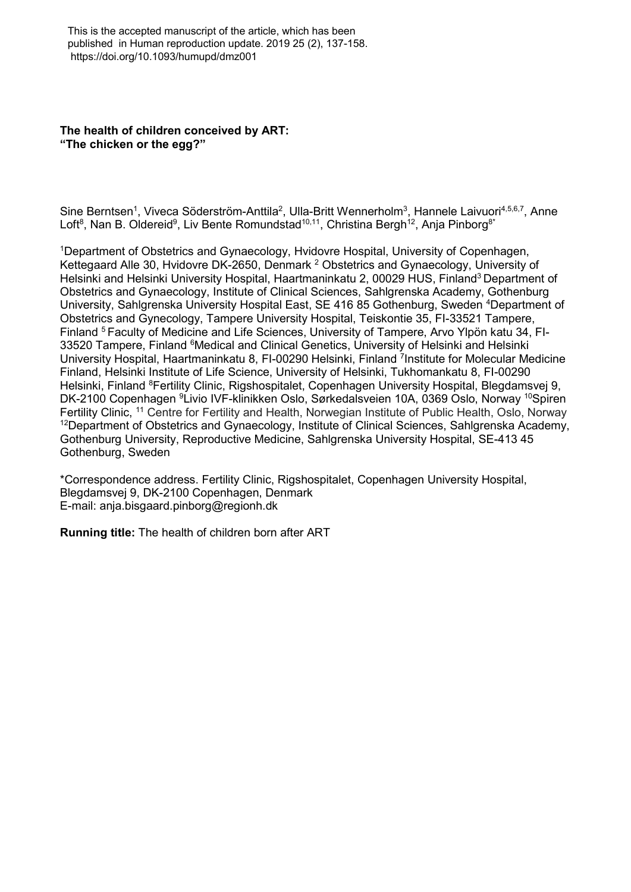This is the accepted manuscript of the article, which has been published in Human reproduction update. 2019 25 (2), 137-158. https://doi.org/10.1093/humupd/dmz001

**The health of children conceived by ART: "The chicken or the egg?"**

Sine Berntsen<sup>1</sup>, Viveca Söderström-Anttila<sup>2</sup>, Ulla-Britt Wennerholm<sup>3</sup>, Hannele Laivuori<sup>4,5,6,7</sup>, Anne Loft<sup>8</sup>, Nan B. Oldereid<sup>9</sup>, Liv Bente Romundstad<sup>10,11</sup>, Christina Bergh<sup>12</sup>, Anja Pinborg<sup>8\*</sup>

1 Department of Obstetrics and Gynaecology, Hvidovre Hospital, University of Copenhagen, Kettegaard Alle 30, Hvidovre DK-2650, Denmark <sup>2</sup> Obstetrics and Gynaecology, University of Helsinki and Helsinki University Hospital, Haartmaninkatu 2, 00029 HUS, Finland<sup>3</sup> Department of Obstetrics and Gynaecology, Institute of Clinical Sciences, Sahlgrenska Academy, Gothenburg University, Sahlgrenska University Hospital East, SE 416 85 Gothenburg, Sweden <sup>4</sup>Department of Obstetrics and Gynecology, Tampere University Hospital, Teiskontie 35, FI-33521 Tampere, Finland 5 Faculty of Medicine and Life Sciences, University of Tampere, Arvo Ylpön katu 34, FI-33520 Tampere, Finland <sup>6</sup>Medical and Clinical Genetics, University of Helsinki and Helsinki University Hospital, Haartmaninkatu 8, FI-00290 Helsinki, Finland <sup>7</sup>Institute for Molecular Medicine Finland, Helsinki Institute of Life Science, University of Helsinki, Tukhomankatu 8, FI-00290 Helsinki, Finland <sup>8</sup>Fertility Clinic, Rigshospitalet, Copenhagen University Hospital, Blegdamsvej 9, DK-2100 Copenhagen <sup>9</sup>Livio IVF-klinikken Oslo, Sørkedalsveien 10A, 0369 Oslo, Norway <sup>10</sup>Spiren Fertility Clinic, 11 Centre for Fertility and Health, Norwegian Institute of Public Health, Oslo, Norway <sup>12</sup>Department of Obstetrics and Gynaecology, Institute of Clinical Sciences, Sahlgrenska Academy, Gothenburg University, Reproductive Medicine, Sahlgrenska University Hospital, SE-413 45 Gothenburg, Sweden

\*Correspondence address. Fertility Clinic, Rigshospitalet, Copenhagen University Hospital, Blegdamsvej 9, DK-2100 Copenhagen, Denmark E-mail: anja.bisgaard.pinborg@regionh.dk

**Running title:** The health of children born after ART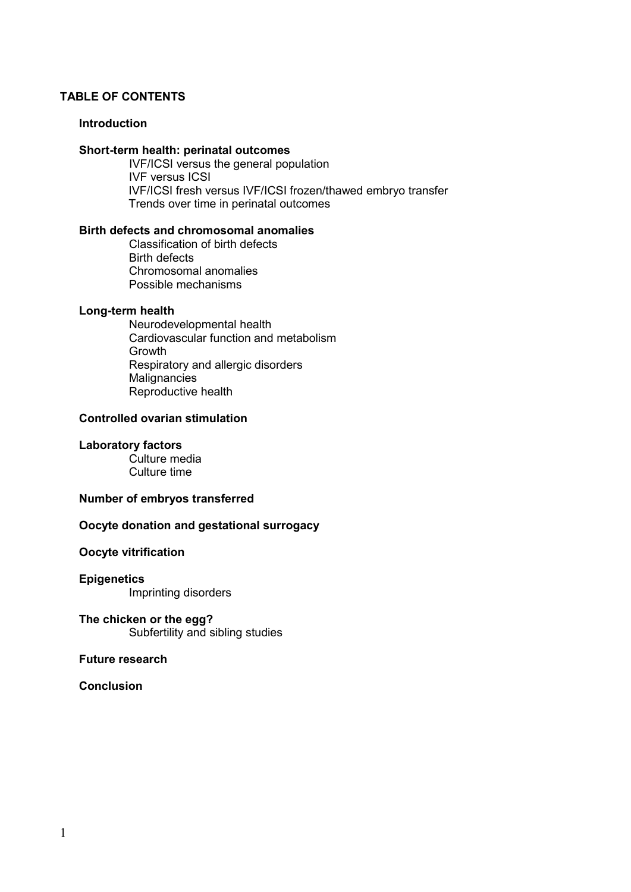#### **TABLE OF CONTENTS**

#### **Introduction**

#### **Short-term health: perinatal outcomes**

IVF/ICSI versus the general population IVF versus ICSI IVF/ICSI fresh versus IVF/ICSI frozen/thawed embryo transfer Trends over time in perinatal outcomes

#### **Birth defects and chromosomal anomalies**

Classification of birth defects Birth defects Chromosomal anomalies Possible mechanisms

#### **Long-term health**

Neurodevelopmental health Cardiovascular function and metabolism Growth Respiratory and allergic disorders **Malignancies** Reproductive health

#### **Controlled ovarian stimulation**

#### **Laboratory factors**

Culture media Culture time

#### **Number of embryos transferred**

#### **Oocyte donation and gestational surrogacy**

#### **Oocyte vitrification**

#### **Epigenetics**

Imprinting disorders

#### **The chicken or the egg?** Subfertility and sibling studies

#### **Future research**

**Conclusion**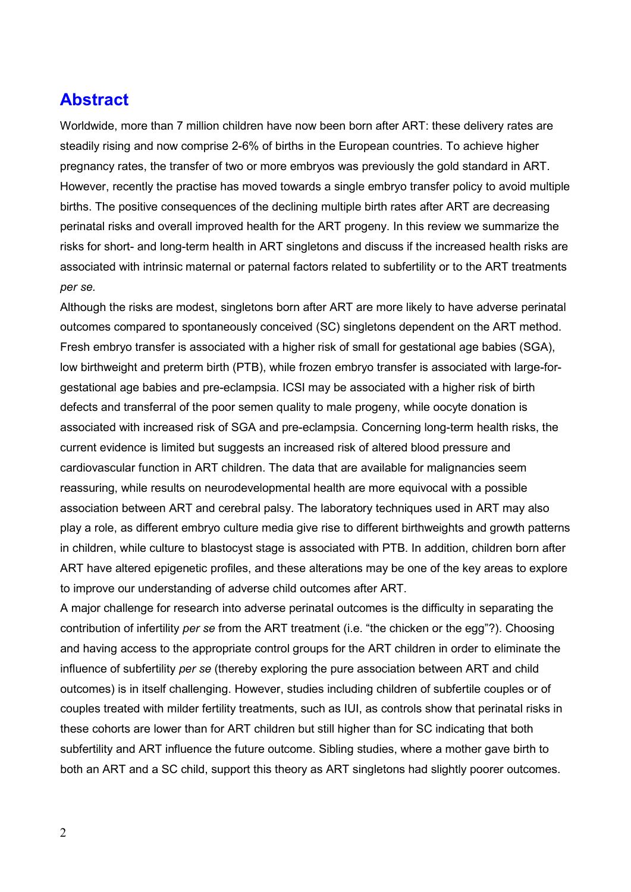## **Abstract**

Worldwide, more than 7 million children have now been born after ART: these delivery rates are steadily rising and now comprise 2-6% of births in the European countries. To achieve higher pregnancy rates, the transfer of two or more embryos was previously the gold standard in ART. However, recently the practise has moved towards a single embryo transfer policy to avoid multiple births. The positive consequences of the declining multiple birth rates after ART are decreasing perinatal risks and overall improved health for the ART progeny. In this review we summarize the risks for short- and long-term health in ART singletons and discuss if the increased health risks are associated with intrinsic maternal or paternal factors related to subfertility or to the ART treatments *per se.*

Although the risks are modest, singletons born after ART are more likely to have adverse perinatal outcomes compared to spontaneously conceived (SC) singletons dependent on the ART method. Fresh embryo transfer is associated with a higher risk of small for gestational age babies (SGA), low birthweight and preterm birth (PTB), while frozen embryo transfer is associated with large-forgestational age babies and pre-eclampsia. ICSI may be associated with a higher risk of birth defects and transferral of the poor semen quality to male progeny, while oocyte donation is associated with increased risk of SGA and pre-eclampsia. Concerning long-term health risks, the current evidence is limited but suggests an increased risk of altered blood pressure and cardiovascular function in ART children. The data that are available for malignancies seem reassuring, while results on neurodevelopmental health are more equivocal with a possible association between ART and cerebral palsy. The laboratory techniques used in ART may also play a role, as different embryo culture media give rise to different birthweights and growth patterns in children, while culture to blastocyst stage is associated with PTB. In addition, children born after ART have altered epigenetic profiles, and these alterations may be one of the key areas to explore to improve our understanding of adverse child outcomes after ART.

A major challenge for research into adverse perinatal outcomes is the difficulty in separating the contribution of infertility *per se* from the ART treatment (i.e. "the chicken or the egg"?). Choosing and having access to the appropriate control groups for the ART children in order to eliminate the influence of subfertility *per se* (thereby exploring the pure association between ART and child outcomes) is in itself challenging. However, studies including children of subfertile couples or of couples treated with milder fertility treatments, such as IUI, as controls show that perinatal risks in these cohorts are lower than for ART children but still higher than for SC indicating that both subfertility and ART influence the future outcome. Sibling studies, where a mother gave birth to both an ART and a SC child, support this theory as ART singletons had slightly poorer outcomes.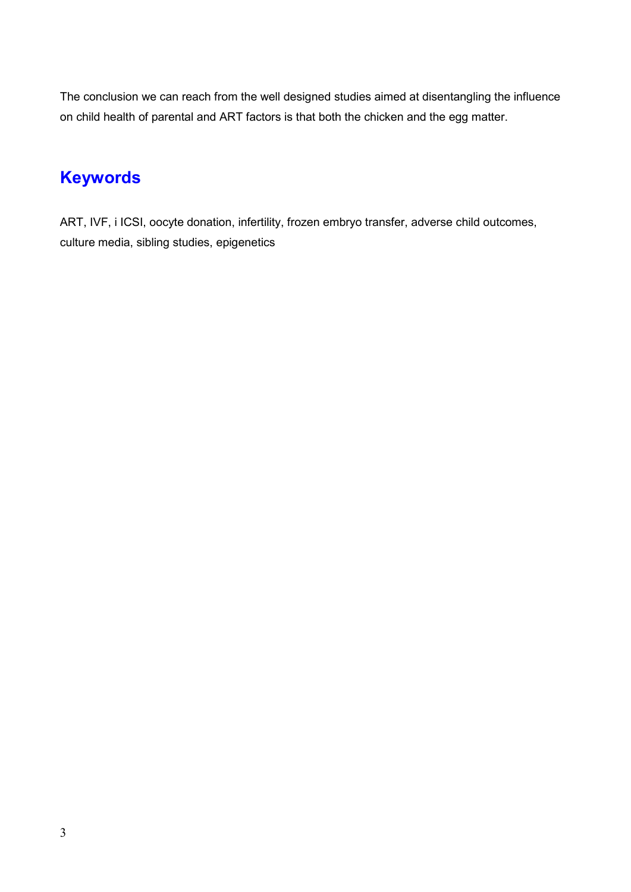The conclusion we can reach from the well designed studies aimed at disentangling the influence on child health of parental and ART factors is that both the chicken and the egg matter.

# **Keywords**

ART, IVF, i ICSI, oocyte donation, infertility, frozen embryo transfer, adverse child outcomes, culture media, sibling studies, epigenetics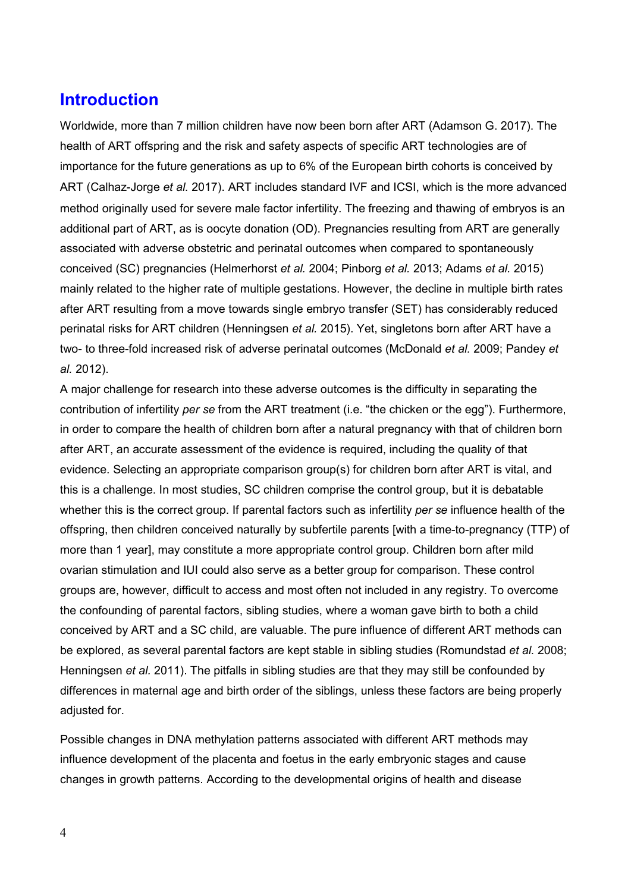## **Introduction**

Worldwide, more than 7 million children have now been born after ART (Adamson G. 2017). The health of ART offspring and the risk and safety aspects of specific ART technologies are of importance for the future generations as up to 6% of the European birth cohorts is conceived by ART (Calhaz-Jorge *et al.* 2017). ART includes standard IVF and ICSI, which is the more advanced method originally used for severe male factor infertility. The freezing and thawing of embryos is an additional part of ART, as is oocyte donation (OD). Pregnancies resulting from ART are generally associated with adverse obstetric and perinatal outcomes when compared to spontaneously conceived (SC) pregnancies (Helmerhorst *et al.* 2004; Pinborg *et al.* 2013; Adams *et al.* 2015) mainly related to the higher rate of multiple gestations. However, the decline in multiple birth rates after ART resulting from a move towards single embryo transfer (SET) has considerably reduced perinatal risks for ART children (Henningsen *et al.* 2015). Yet, singletons born after ART have a two- to three-fold increased risk of adverse perinatal outcomes (McDonald *et al.* 2009; Pandey *et al.* 2012).

A major challenge for research into these adverse outcomes is the difficulty in separating the contribution of infertility *per se* from the ART treatment (i.e. "the chicken or the egg"). Furthermore, in order to compare the health of children born after a natural pregnancy with that of children born after ART, an accurate assessment of the evidence is required, including the quality of that evidence. Selecting an appropriate comparison group(s) for children born after ART is vital, and this is a challenge. In most studies, SC children comprise the control group, but it is debatable whether this is the correct group. If parental factors such as infertility *per se* influence health of the offspring, then children conceived naturally by subfertile parents [with a time-to-pregnancy (TTP) of more than 1 year], may constitute a more appropriate control group. Children born after mild ovarian stimulation and IUI could also serve as a better group for comparison. These control groups are, however, difficult to access and most often not included in any registry. To overcome the confounding of parental factors, sibling studies, where a woman gave birth to both a child conceived by ART and a SC child, are valuable. The pure influence of different ART methods can be explored, as several parental factors are kept stable in sibling studies (Romundstad *et al.* 2008; Henningsen *et al.* 2011). The pitfalls in sibling studies are that they may still be confounded by differences in maternal age and birth order of the siblings, unless these factors are being properly adjusted for.

Possible changes in DNA methylation patterns associated with different ART methods may influence development of the placenta and foetus in the early embryonic stages and cause changes in growth patterns. According to the developmental origins of health and disease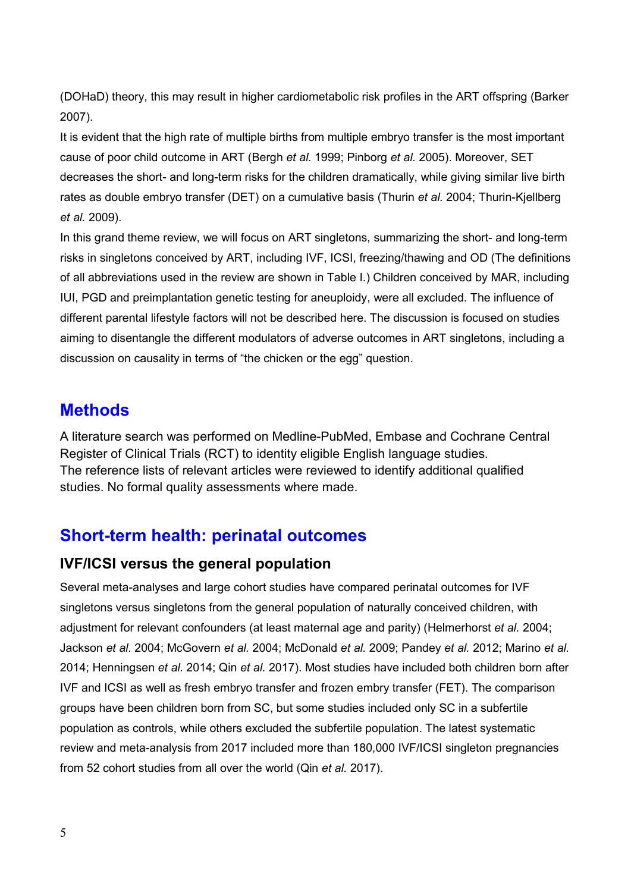(DOHaD) theory, this may result in higher cardiometabolic risk profiles in the ART offspring (Barker 2007).

It is evident that the high rate of multiple births from multiple embryo transfer is the most important cause of poor child outcome in ART (Bergh *et al.* 1999; Pinborg *et al.* 2005). Moreover, SET decreases the short- and long-term risks for the children dramatically, while giving similar live birth rates as double embryo transfer (DET) on a cumulative basis (Thurin *et al.* 2004; Thurin-Kjellberg *et al.* 2009).

In this grand theme review, we will focus on ART singletons, summarizing the short- and long-term risks in singletons conceived by ART, including IVF, ICSI, freezing/thawing and OD (The definitions of all abbreviations used in the review are shown in Table I.) Children conceived by MAR, including IUI, PGD and preimplantation genetic testing for aneuploidy, were all excluded. The influence of different parental lifestyle factors will not be described here. The discussion is focused on studies aiming to disentangle the different modulators of adverse outcomes in ART singletons, including a discussion on causality in terms of "the chicken or the egg" question.

# **Methods**

A literature search was performed on Medline-PubMed, Embase and Cochrane Central Register of Clinical Trials (RCT) to identity eligible English language studies. The reference lists of relevant articles were reviewed to identify additional qualified studies. No formal quality assessments where made.

# **Short-term health: perinatal outcomes**

## **IVF/ICSI versus the general population**

Several meta-analyses and large cohort studies have compared perinatal outcomes for IVF singletons versus singletons from the general population of naturally conceived children, with adjustment for relevant confounders (at least maternal age and parity) (Helmerhorst *et al.* 2004; Jackson *et al.* 2004; McGovern *et al.* 2004; McDonald *et al.* 2009; Pandey *et al.* 2012; Marino *et al.* 2014; Henningsen *et al.* 2014; Qin *et al.* 2017). Most studies have included both children born after IVF and ICSI as well as fresh embryo transfer and frozen embry transfer (FET). The comparison groups have been children born from SC, but some studies included only SC in a subfertile population as controls, while others excluded the subfertile population. The latest systematic review and meta-analysis from 2017 included more than 180,000 IVF/ICSI singleton pregnancies from 52 cohort studies from all over the world (Qin *et al.* 2017).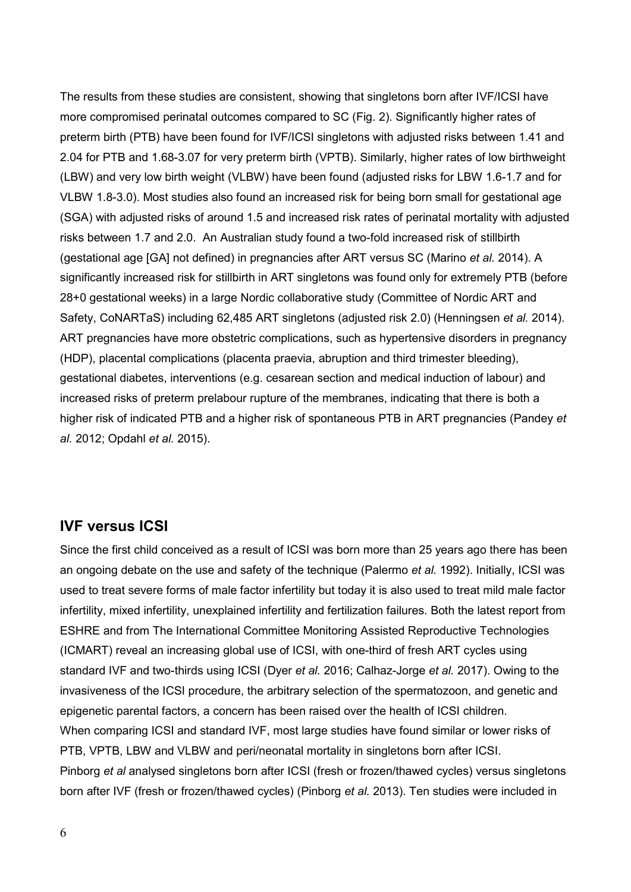The results from these studies are consistent, showing that singletons born after IVF/ICSI have more compromised perinatal outcomes compared to SC (Fig. 2). Significantly higher rates of preterm birth (PTB) have been found for IVF/ICSI singletons with adjusted risks between 1.41 and 2.04 for PTB and 1.68-3.07 for very preterm birth (VPTB). Similarly, higher rates of low birthweight (LBW) and very low birth weight (VLBW) have been found (adjusted risks for LBW 1.6-1.7 and for VLBW 1.8-3.0). Most studies also found an increased risk for being born small for gestational age (SGA) with adjusted risks of around 1.5 and increased risk rates of perinatal mortality with adjusted risks between 1.7 and 2.0. An Australian study found a two-fold increased risk of stillbirth (gestational age [GA] not defined) in pregnancies after ART versus SC (Marino *et al.* 2014). A significantly increased risk for stillbirth in ART singletons was found only for extremely PTB (before 28+0 gestational weeks) in a large Nordic collaborative study (Committee of Nordic ART and Safety, CoNARTaS) including 62,485 ART singletons (adjusted risk 2.0) (Henningsen *et al.* 2014). ART pregnancies have more obstetric complications, such as hypertensive disorders in pregnancy (HDP), placental complications (placenta praevia, abruption and third trimester bleeding), gestational diabetes, interventions (e.g. cesarean section and medical induction of labour) and increased risks of preterm prelabour rupture of the membranes, indicating that there is both a higher risk of indicated PTB and a higher risk of spontaneous PTB in ART pregnancies (Pandey *et al.* 2012; Opdahl *et al.* 2015).

### **IVF versus ICSI**

Since the first child conceived as a result of ICSI was born more than 25 years ago there has been an ongoing debate on the use and safety of the technique (Palermo *et al.* 1992). Initially, ICSI was used to treat severe forms of male factor infertility but today it is also used to treat mild male factor infertility, mixed infertility, unexplained infertility and fertilization failures. Both the latest report from ESHRE and from The International Committee Monitoring Assisted Reproductive Technologies (ICMART) reveal an increasing global use of ICSI, with one-third of fresh ART cycles using standard IVF and two-thirds using ICSI (Dyer *et al.* 2016; Calhaz-Jorge *et al.* 2017). Owing to the invasiveness of the ICSI procedure, the arbitrary selection of the spermatozoon, and genetic and epigenetic parental factors, a concern has been raised over the health of ICSI children. When comparing ICSI and standard IVF, most large studies have found similar or lower risks of PTB, VPTB, LBW and VLBW and peri/neonatal mortality in singletons born after ICSI. Pinborg *et al* analysed singletons born after ICSI (fresh or frozen/thawed cycles) versus singletons born after IVF (fresh or frozen/thawed cycles) (Pinborg *et al.* 2013). Ten studies were included in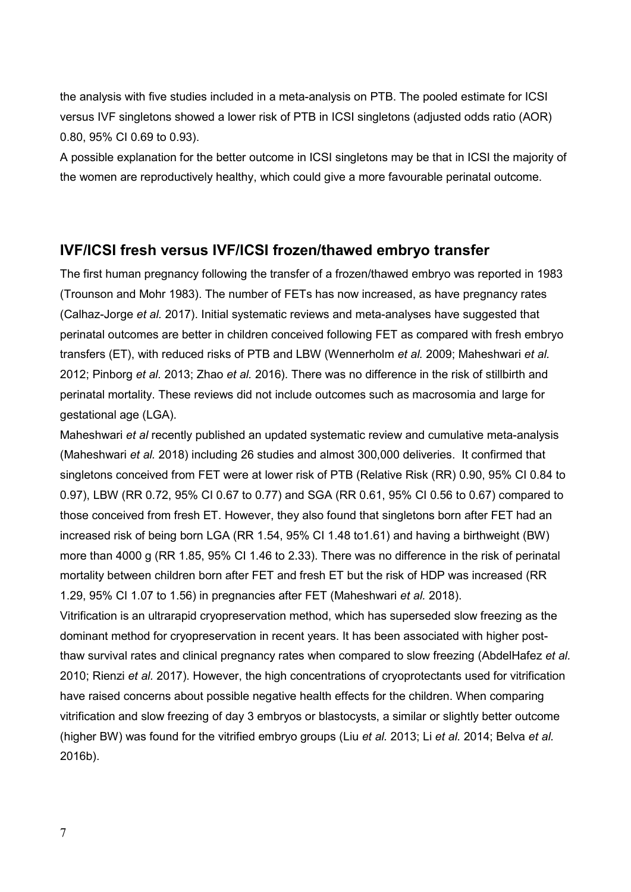the analysis with five studies included in a meta-analysis on PTB. The pooled estimate for ICSI versus IVF singletons showed a lower risk of PTB in ICSI singletons (adjusted odds ratio (AOR) 0.80, 95% CI 0.69 to 0.93).

A possible explanation for the better outcome in ICSI singletons may be that in ICSI the majority of the women are reproductively healthy, which could give a more favourable perinatal outcome.

### **IVF/ICSI fresh versus IVF/ICSI frozen/thawed embryo transfer**

The first human pregnancy following the transfer of a frozen/thawed embryo was reported in 1983 (Trounson and Mohr 1983). The number of FETs has now increased, as have pregnancy rates (Calhaz-Jorge *et al.* 2017). Initial systematic reviews and meta-analyses have suggested that perinatal outcomes are better in children conceived following FET as compared with fresh embryo transfers (ET), with reduced risks of PTB and LBW (Wennerholm *et al.* 2009; Maheshwari *et al.* 2012; Pinborg *et al.* 2013; Zhao *et al.* 2016). There was no difference in the risk of stillbirth and perinatal mortality. These reviews did not include outcomes such as macrosomia and large for gestational age (LGA).

Maheshwari *et al* recently published an updated systematic review and cumulative meta-analysis (Maheshwari *et al.* 2018) including 26 studies and almost 300,000 deliveries. It confirmed that singletons conceived from FET were at lower risk of PTB (Relative Risk (RR) 0.90, 95% CI 0.84 to 0.97), LBW (RR 0.72, 95% CI 0.67 to 0.77) and SGA (RR 0.61, 95% CI 0.56 to 0.67) compared to those conceived from fresh ET. However, they also found that singletons born after FET had an increased risk of being born LGA (RR 1.54, 95% CI 1.48 to1.61) and having a birthweight (BW) more than 4000 g (RR 1.85, 95% CI 1.46 to 2.33). There was no difference in the risk of perinatal mortality between children born after FET and fresh ET but the risk of HDP was increased (RR 1.29, 95% CI 1.07 to 1.56) in pregnancies after FET (Maheshwari *et al.* 2018).

Vitrification is an ultrarapid cryopreservation method, which has superseded slow freezing as the dominant method for cryopreservation in recent years. It has been associated with higher postthaw survival rates and clinical pregnancy rates when compared to slow freezing (AbdelHafez *et al.* 2010; Rienzi *et al.* 2017). However, the high concentrations of cryoprotectants used for vitrification have raised concerns about possible negative health effects for the children. When comparing vitrification and slow freezing of day 3 embryos or blastocysts, a similar or slightly better outcome (higher BW) was found for the vitrified embryo groups (Liu *et al.* 2013; Li *et al.* 2014; Belva *et al.* 2016b).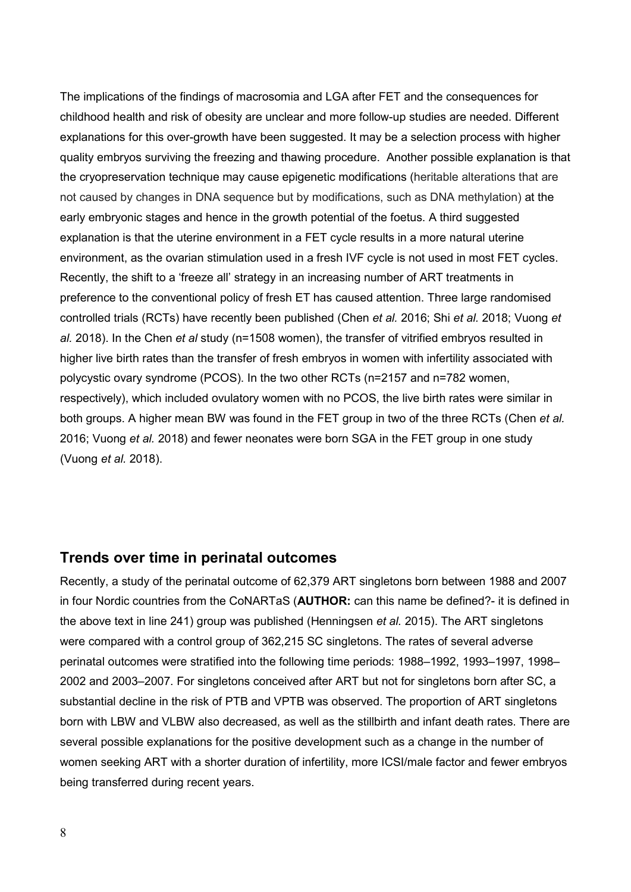The implications of the findings of macrosomia and LGA after FET and the consequences for childhood health and risk of obesity are unclear and more follow-up studies are needed. Different explanations for this over-growth have been suggested. It may be a selection process with higher quality embryos surviving the freezing and thawing procedure. Another possible explanation is that the cryopreservation technique may cause epigenetic modifications (heritable alterations that are not caused by changes in DNA sequence but by modifications, such as DNA methylation) at the early embryonic stages and hence in the growth potential of the foetus. A third suggested explanation is that the uterine environment in a FET cycle results in a more natural uterine environment, as the ovarian stimulation used in a fresh IVF cycle is not used in most FET cycles. Recently, the shift to a 'freeze all' strategy in an increasing number of ART treatments in preference to the conventional policy of fresh ET has caused attention. Three large randomised controlled trials (RCTs) have recently been published (Chen *et al.* 2016; Shi *et al.* 2018; Vuong *et al.* 2018). In the Chen *et al* study (n=1508 women), the transfer of vitrified embryos resulted in higher live birth rates than the transfer of fresh embryos in women with infertility associated with polycystic ovary syndrome (PCOS). In the two other RCTs (n=2157 and n=782 women, respectively), which included ovulatory women with no PCOS, the live birth rates were similar in both groups. A higher mean BW was found in the FET group in two of the three RCTs (Chen *et al.* 2016; Vuong *et al.* 2018) and fewer neonates were born SGA in the FET group in one study (Vuong *et al.* 2018).

#### **Trends over time in perinatal outcomes**

Recently, a study of the perinatal outcome of 62,379 ART singletons born between 1988 and 2007 in four Nordic countries from the CoNARTaS (**AUTHOR:** can this name be defined?- it is defined in the above text in line 241) group was published (Henningsen *et al.* 2015). The ART singletons were compared with a control group of 362,215 SC singletons. The rates of several adverse perinatal outcomes were stratified into the following time periods: 1988–1992, 1993–1997, 1998– 2002 and 2003–2007. For singletons conceived after ART but not for singletons born after SC, a substantial decline in the risk of PTB and VPTB was observed. The proportion of ART singletons born with LBW and VLBW also decreased, as well as the stillbirth and infant death rates. There are several possible explanations for the positive development such as a change in the number of women seeking ART with a shorter duration of infertility, more ICSI/male factor and fewer embryos being transferred during recent years.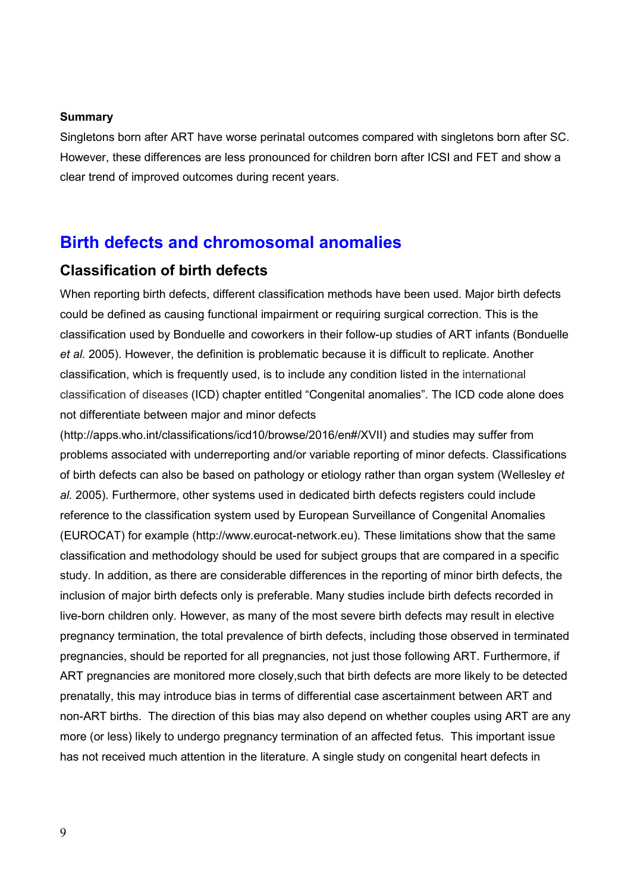#### **Summary**

Singletons born after ART have worse perinatal outcomes compared with singletons born after SC. However, these differences are less pronounced for children born after ICSI and FET and show a clear trend of improved outcomes during recent years.

## **Birth defects and chromosomal anomalies**

### **Classification of birth defects**

When reporting birth defects, different classification methods have been used. Major birth defects could be defined as causing functional impairment or requiring surgical correction. This is the classification used by Bonduelle and coworkers in their follow-up studies of ART infants (Bonduelle *et al.* 2005). However, the definition is problematic because it is difficult to replicate. Another classification, which is frequently used, is to include any condition listed in the international classification of diseases (ICD) chapter entitled "Congenital anomalies". The ICD code alone does not differentiate between major and minor defects

(http://apps.who.int/classifications/icd10/browse/2016/en#/XVII) and studies may suffer from problems associated with underreporting and/or variable reporting of minor defects. Classifications of birth defects can also be based on pathology or etiology rather than organ system (Wellesley *et al.* 2005). Furthermore, other systems used in dedicated birth defects registers could include reference to the classification system used by European Surveillance of Congenital Anomalies (EUROCAT) for example (http://www.eurocat-network.eu). These limitations show that the same classification and methodology should be used for subject groups that are compared in a specific study. In addition, as there are considerable differences in the reporting of minor birth defects, the inclusion of major birth defects only is preferable. Many studies include birth defects recorded in live-born children only. However, as many of the most severe birth defects may result in elective pregnancy termination, the total prevalence of birth defects, including those observed in terminated pregnancies, should be reported for all pregnancies, not just those following ART. Furthermore, if ART pregnancies are monitored more closely,such that birth defects are more likely to be detected prenatally, this may introduce bias in terms of differential case ascertainment between ART and non-ART births. The direction of this bias may also depend on whether couples using ART are any more (or less) likely to undergo pregnancy termination of an affected fetus. This important issue has not received much attention in the literature. A single study on congenital heart defects in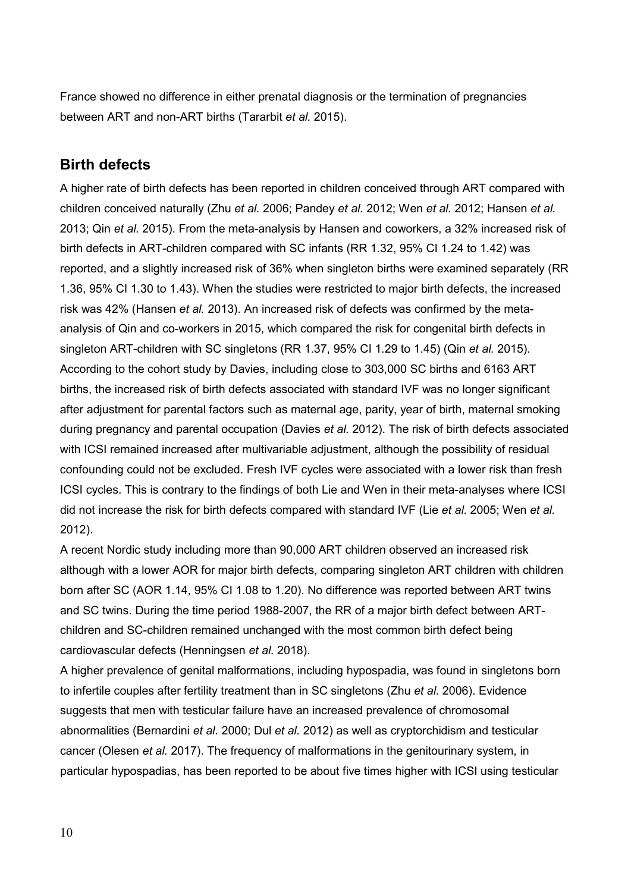France showed no difference in either prenatal diagnosis or the termination of pregnancies between ART and non-ART births (Tararbit *et al.* 2015).

## **Birth defects**

A higher rate of birth defects has been reported in children conceived through ART compared with children conceived naturally (Zhu *et al.* 2006; Pandey *et al.* 2012; Wen *et al.* 2012; Hansen *et al.* 2013; Qin *et al.* 2015). From the meta-analysis by Hansen and coworkers, a 32% increased risk of birth defects in ART-children compared with SC infants (RR 1.32, 95% CI 1.24 to 1.42) was reported, and a slightly increased risk of 36% when singleton births were examined separately (RR 1.36, 95% CI 1.30 to 1.43). When the studies were restricted to major birth defects, the increased risk was 42% (Hansen *et al.* 2013). An increased risk of defects was confirmed by the metaanalysis of Qin and co-workers in 2015, which compared the risk for congenital birth defects in singleton ART-children with SC singletons (RR 1.37, 95% CI 1.29 to 1.45) (Qin *et al.* 2015). According to the cohort study by Davies, including close to 303,000 SC births and 6163 ART births, the increased risk of birth defects associated with standard IVF was no longer significant after adjustment for parental factors such as maternal age, parity, year of birth, maternal smoking during pregnancy and parental occupation (Davies *et al.* 2012). The risk of birth defects associated with ICSI remained increased after multivariable adjustment, although the possibility of residual confounding could not be excluded. Fresh IVF cycles were associated with a lower risk than fresh ICSI cycles. This is contrary to the findings of both Lie and Wen in their meta-analyses where ICSI did not increase the risk for birth defects compared with standard IVF (Lie *et al.* 2005; Wen *et al.* 2012).

A recent Nordic study including more than 90,000 ART children observed an increased risk although with a lower AOR for major birth defects, comparing singleton ART children with children born after SC (AOR 1.14, 95% CI 1.08 to 1.20). No difference was reported between ART twins and SC twins. During the time period 1988-2007, the RR of a major birth defect between ARTchildren and SC-children remained unchanged with the most common birth defect being cardiovascular defects (Henningsen *et al.* 2018).

A higher prevalence of genital malformations, including hypospadia, was found in singletons born to infertile couples after fertility treatment than in SC singletons (Zhu *et al.* 2006). Evidence suggests that men with testicular failure have an increased prevalence of chromosomal abnormalities (Bernardini *et al.* 2000; Dul *et al.* 2012) as well as cryptorchidism and testicular cancer (Olesen *et al.* 2017). The frequency of malformations in the genitourinary system, in particular hypospadias, has been reported to be about five times higher with ICSI using testicular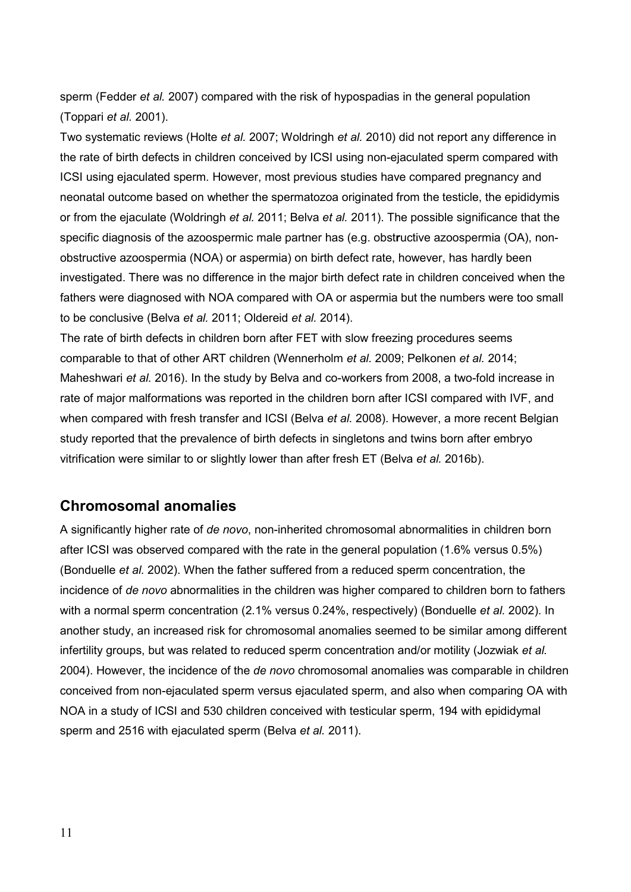sperm (Fedder *et al.* 2007) compared with the risk of hypospadias in the general population (Toppari *et al.* 2001).

Two systematic reviews (Holte *et al.* 2007; Woldringh *et al.* 2010) did not report any difference in the rate of birth defects in children conceived by ICSI using non-ejaculated sperm compared with ICSI using ejaculated sperm. However, most previous studies have compared pregnancy and neonatal outcome based on whether the spermatozoa originated from the testicle, the epididymis or from the ejaculate (Woldringh *et al.* 2011; Belva *et al.* 2011). The possible significance that the specific diagnosis of the azoospermic male partner has (e.g. obst**r**uctive azoospermia (OA), nonobstructive azoospermia (NOA) or aspermia) on birth defect rate, however, has hardly been investigated. There was no difference in the major birth defect rate in children conceived when the fathers were diagnosed with NOA compared with OA or aspermia but the numbers were too small to be conclusive (Belva *et al.* 2011; Oldereid *et al.* 2014).

The rate of birth defects in children born after FET with slow freezing procedures seems comparable to that of other ART children (Wennerholm *et al.* 2009; Pelkonen *et al.* 2014; Maheshwari *et al.* 2016). In the study by Belva and co-workers from 2008, a two-fold increase in rate of major malformations was reported in the children born after ICSI compared with IVF, and when compared with fresh transfer and ICSI (Belva *et al.* 2008). However, a more recent Belgian study reported that the prevalence of birth defects in singletons and twins born after embryo vitrification were similar to or slightly lower than after fresh ET (Belva *et al.* 2016b).

### **Chromosomal anomalies**

A significantly higher rate of *de novo*, non-inherited chromosomal abnormalities in children born after ICSI was observed compared with the rate in the general population (1.6% versus 0.5%) (Bonduelle *et al.* 2002). When the father suffered from a reduced sperm concentration, the incidence of *de novo* abnormalities in the children was higher compared to children born to fathers with a normal sperm concentration (2.1% versus 0.24%, respectively) (Bonduelle *et al.* 2002). In another study, an increased risk for chromosomal anomalies seemed to be similar among different infertility groups, but was related to reduced sperm concentration and/or motility (Jozwiak *et al.* 2004). However, the incidence of the *de novo* chromosomal anomalies was comparable in children conceived from non-ejaculated sperm versus ejaculated sperm, and also when comparing OA with NOA in a study of ICSI and 530 children conceived with testicular sperm, 194 with epididymal sperm and 2516 with ejaculated sperm (Belva *et al.* 2011).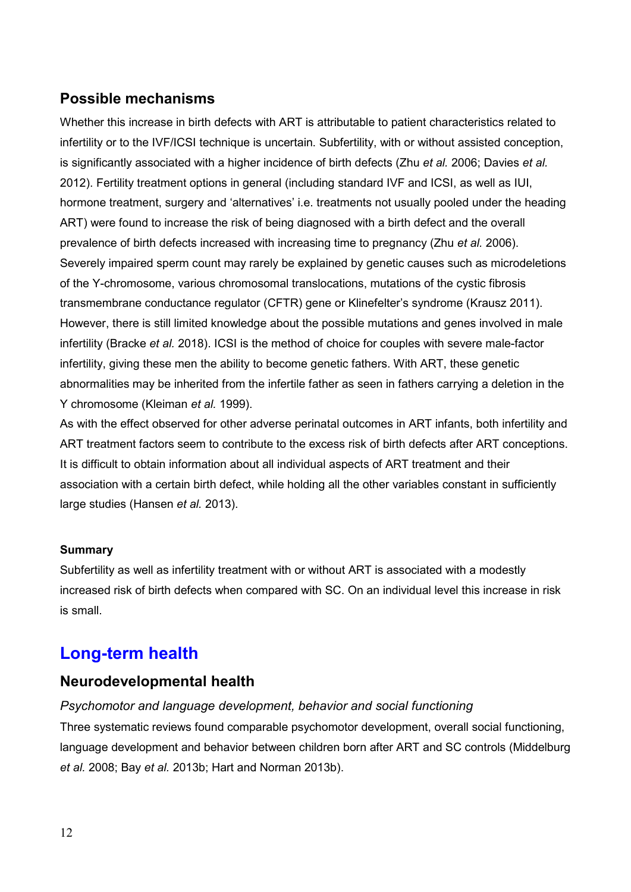## **Possible mechanisms**

Whether this increase in birth defects with ART is attributable to patient characteristics related to infertility or to the IVF/ICSI technique is uncertain. Subfertility, with or without assisted conception, is significantly associated with a higher incidence of birth defects (Zhu *et al.* 2006; Davies *et al.* 2012). Fertility treatment options in general (including standard IVF and ICSI, as well as IUI, hormone treatment, surgery and 'alternatives' i.e. treatments not usually pooled under the heading ART) were found to increase the risk of being diagnosed with a birth defect and the overall prevalence of birth defects increased with increasing time to pregnancy (Zhu *et al.* 2006). Severely impaired sperm count may rarely be explained by genetic causes such as microdeletions of the Y-chromosome, various chromosomal translocations, mutations of the cystic fibrosis transmembrane conductance regulator (CFTR) gene or Klinefelter's syndrome (Krausz 2011). However, there is still limited knowledge about the possible mutations and genes involved in male infertility (Bracke *et al.* 2018). ICSI is the method of choice for couples with severe male-factor infertility, giving these men the ability to become genetic fathers. With ART, these genetic abnormalities may be inherited from the infertile father as seen in fathers carrying a deletion in the Y chromosome (Kleiman *et al.* 1999).

As with the effect observed for other adverse perinatal outcomes in ART infants, both infertility and ART treatment factors seem to contribute to the excess risk of birth defects after ART conceptions. It is difficult to obtain information about all individual aspects of ART treatment and their association with a certain birth defect, while holding all the other variables constant in sufficiently large studies (Hansen *et al.* 2013).

#### **Summary**

Subfertility as well as infertility treatment with or without ART is associated with a modestly increased risk of birth defects when compared with SC. On an individual level this increase in risk is small.

# **Long-term health**

### **Neurodevelopmental health**

#### *Psychomotor and language development, behavior and social functioning*

Three systematic reviews found comparable psychomotor development, overall social functioning, language development and behavior between children born after ART and SC controls (Middelburg *et al.* 2008; Bay *et al.* 2013b; Hart and Norman 2013b).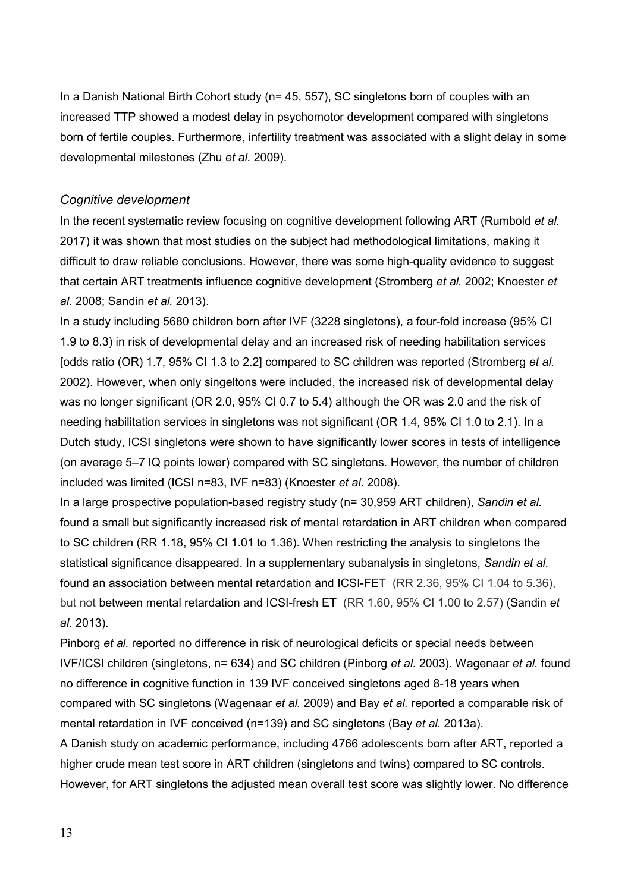In a Danish National Birth Cohort study (n= 45, 557), SC singletons born of couples with an increased TTP showed a modest delay in psychomotor development compared with singletons born of fertile couples. Furthermore, infertility treatment was associated with a slight delay in some developmental milestones (Zhu *et al.* 2009).

#### *Cognitive development*

In the recent systematic review focusing on cognitive development following ART (Rumbold *et al.* 2017) it was shown that most studies on the subject had methodological limitations, making it difficult to draw reliable conclusions. However, there was some high-quality evidence to suggest that certain ART treatments influence cognitive development (Stromberg *et al.* 2002; Knoester *et al.* 2008; Sandin *et al.* 2013).

In a study including 5680 children born after IVF (3228 singletons), a four-fold increase (95% CI 1.9 to 8.3) in risk of developmental delay and an increased risk of needing habilitation services [odds ratio (OR) 1.7, 95% CI 1.3 to 2.2] compared to SC children was reported (Stromberg *et al.* 2002). However, when only singeltons were included, the increased risk of developmental delay was no longer significant (OR 2.0, 95% CI 0.7 to 5.4) although the OR was 2.0 and the risk of needing habilitation services in singletons was not significant (OR 1.4, 95% CI 1.0 to 2.1). In a Dutch study, ICSI singletons were shown to have significantly lower scores in tests of intelligence (on average 5–7 IQ points lower) compared with SC singletons. However, the number of children included was limited (ICSI n=83, IVF n=83) (Knoester *et al.* 2008).

In a large prospective population-based registry study (n= 30,959 ART children), *Sandin et al.* found a small but significantly increased risk of mental retardation in ART children when compared to SC children (RR 1.18, 95% CI 1.01 to 1.36). When restricting the analysis to singletons the statistical significance disappeared. In a supplementary subanalysis in singletons, *Sandin et al.* found an association between mental retardation and ICSI-FET (RR 2.36, 95% CI 1.04 to 5.36), but not between mental retardation and ICSI-fresh ET (RR 1.60, 95% CI 1.00 to 2.57) (Sandin *et al.* 2013).

Pinborg *et al.* reported no difference in risk of neurological deficits or special needs between IVF/ICSI children (singletons, n= 634) and SC children (Pinborg *et al.* 2003). Wagenaar *et al.* found no difference in cognitive function in 139 IVF conceived singletons aged 8-18 years when compared with SC singletons (Wagenaar *et al.* 2009) and Bay *et al.* reported a comparable risk of mental retardation in IVF conceived (n=139) and SC singletons (Bay *et al.* 2013a).

A Danish study on academic performance, including 4766 adolescents born after ART, reported a higher crude mean test score in ART children (singletons and twins) compared to SC controls. However, for ART singletons the adjusted mean overall test score was slightly lower. No difference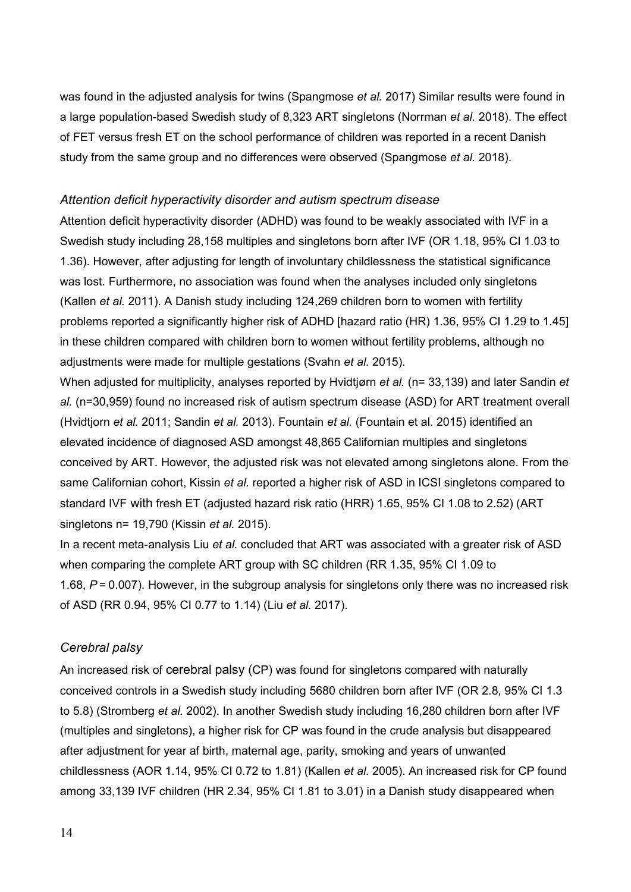was found in the adjusted analysis for twins (Spangmose *et al.* 2017) Similar results were found in a large population-based Swedish study of 8,323 ART singletons (Norrman *et al.* 2018). The effect of FET versus fresh ET on the school performance of children was reported in a recent Danish study from the same group and no differences were observed (Spangmose *et al.* 2018).

#### *Attention deficit hyperactivity disorder and autism spectrum disease*

Attention deficit hyperactivity disorder (ADHD) was found to be weakly associated with IVF in a Swedish study including 28,158 multiples and singletons born after IVF (OR 1.18, 95% CI 1.03 to 1.36). However, after adjusting for length of involuntary childlessness the statistical significance was lost. Furthermore, no association was found when the analyses included only singletons (Kallen *et al.* 2011). A Danish study including 124,269 children born to women with fertility problems reported a significantly higher risk of ADHD [hazard ratio (HR) 1.36, 95% CI 1.29 to 1.45] in these children compared with children born to women without fertility problems, although no adjustments were made for multiple gestations (Svahn *et al.* 2015).

When adjusted for multiplicity, analyses reported by Hyidtigrn *et al.* (n= 33,139) and later Sandin *et al.* (n=30,959) found no increased risk of autism spectrum disease (ASD) for ART treatment overall (Hvidtjorn *et al.* 2011; Sandin *et al.* 2013). Fountain *et al.* (Fountain et al. 2015) identified an elevated incidence of diagnosed ASD amongst 48,865 Californian multiples and singletons conceived by ART. However, the adjusted risk was not elevated among singletons alone. From the same Californian cohort, Kissin *et al.* reported a higher risk of ASD in ICSI singletons compared to standard IVF with fresh ET (adjusted hazard risk ratio (HRR) 1.65, 95% CI 1.08 to 2.52) (ART singletons n= 19,790 (Kissin *et al.* 2015).

In a recent meta-analysis Liu *et al.* concluded that ART was associated with a greater risk of ASD when comparing the complete ART group with SC children (RR 1.35, 95% CI 1.09 to 1.68, *P* = 0.007). However, in the subgroup analysis for singletons only there was no increased risk of ASD (RR 0.94, 95% CI 0.77 to 1.14) (Liu *et al.* 2017).

#### *Cerebral palsy*

An increased risk of cerebral palsy (CP) was found for singletons compared with naturally conceived controls in a Swedish study including 5680 children born after IVF (OR 2.8, 95% CI 1.3 to 5.8) (Stromberg *et al.* 2002). In another Swedish study including 16,280 children born after IVF (multiples and singletons), a higher risk for CP was found in the crude analysis but disappeared after adjustment for year af birth, maternal age, parity, smoking and years of unwanted childlessness (AOR 1.14, 95% CI 0.72 to 1.81) (Kallen *et al.* 2005). An increased risk for CP found among 33,139 IVF children (HR 2.34, 95% CI 1.81 to 3.01) in a Danish study disappeared when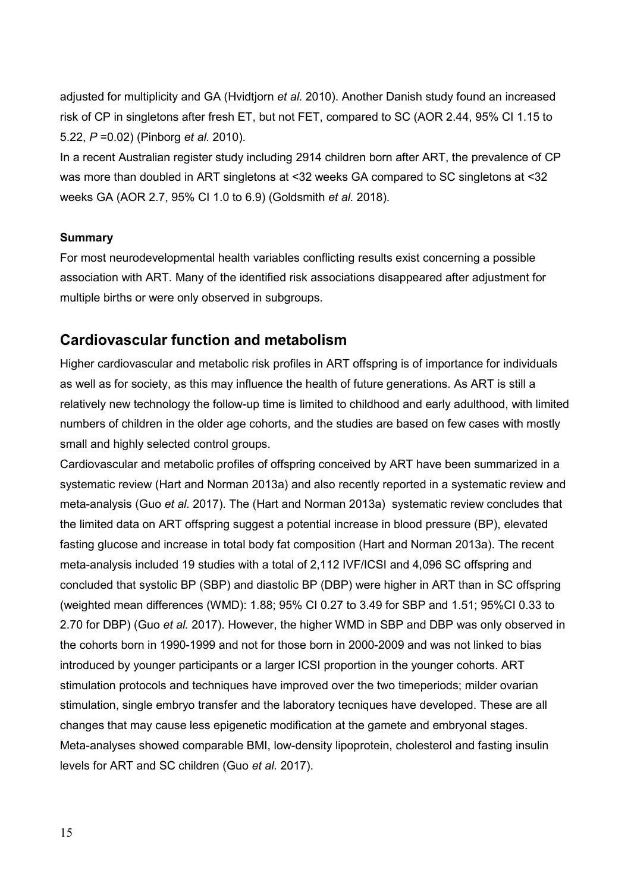adjusted for multiplicity and GA (Hvidtjorn *et al.* 2010). Another Danish study found an increased risk of CP in singletons after fresh ET, but not FET, compared to SC (AOR 2.44, 95% CI 1.15 to 5.22, *P* =0.02) (Pinborg *et al.* 2010).

In a recent Australian register study including 2914 children born after ART, the prevalence of CP was more than doubled in ART singletons at <32 weeks GA compared to SC singletons at <32 weeks GA (AOR 2.7, 95% CI 1.0 to 6.9) (Goldsmith *et al.* 2018).

#### **Summary**

For most neurodevelopmental health variables conflicting results exist concerning a possible association with ART. Many of the identified risk associations disappeared after adjustment for multiple births or were only observed in subgroups.

### **Cardiovascular function and metabolism**

Higher cardiovascular and metabolic risk profiles in ART offspring is of importance for individuals as well as for society, as this may influence the health of future generations. As ART is still a relatively new technology the follow-up time is limited to childhood and early adulthood, with limited numbers of children in the older age cohorts, and the studies are based on few cases with mostly small and highly selected control groups.

Cardiovascular and metabolic profiles of offspring conceived by ART have been summarized in a systematic review (Hart and Norman 2013a) and also recently reported in a systematic review and meta-analysis (Guo *et al.* 2017). The (Hart and Norman 2013a) systematic review concludes that the limited data on ART offspring suggest a potential increase in blood pressure (BP), elevated fasting glucose and increase in total body fat composition (Hart and Norman 2013a). The recent meta-analysis included 19 studies with a total of 2,112 IVF/ICSI and 4,096 SC offspring and concluded that systolic BP (SBP) and diastolic BP (DBP) were higher in ART than in SC offspring (weighted mean differences (WMD): 1.88; 95% CI 0.27 to 3.49 for SBP and 1.51; 95%CI 0.33 to 2.70 for DBP) (Guo *et al.* 2017). However, the higher WMD in SBP and DBP was only observed in the cohorts born in 1990-1999 and not for those born in 2000-2009 and was not linked to bias introduced by younger participants or a larger ICSI proportion in the younger cohorts. ART stimulation protocols and techniques have improved over the two timeperiods; milder ovarian stimulation, single embryo transfer and the laboratory tecniques have developed. These are all changes that may cause less epigenetic modification at the gamete and embryonal stages. Meta-analyses showed comparable BMI, low-density lipoprotein, cholesterol and fasting insulin levels for ART and SC children (Guo *et al.* 2017).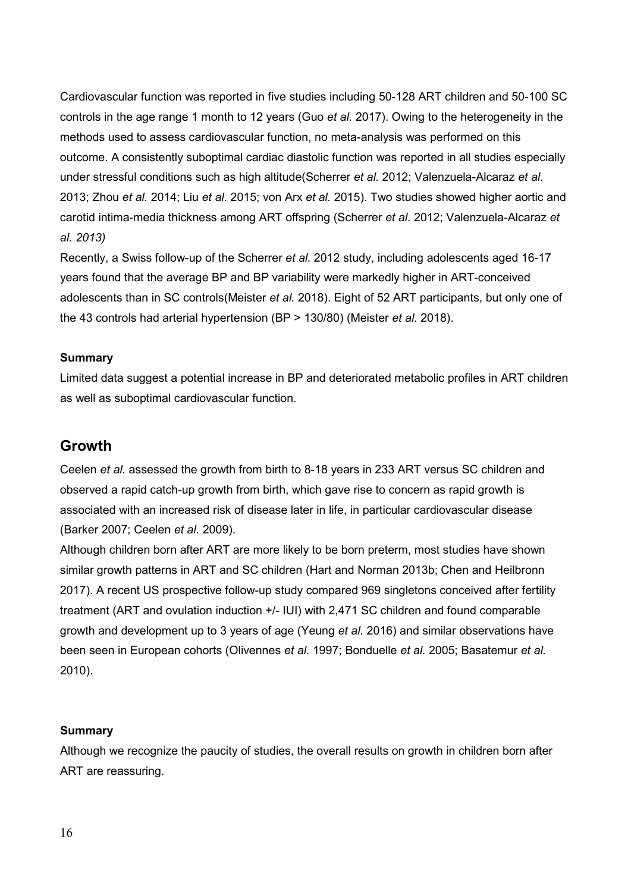Cardiovascular function was reported in five studies including 50-128 ART children and 50-100 SC controls in the age range 1 month to 12 years (Guo *et al.* 2017). Owing to the heterogeneity in the methods used to assess cardiovascular function, no meta-analysis was performed on this outcome. A consistently suboptimal cardiac diastolic function was reported in all studies especially under stressful conditions such as high altitude(Scherrer *et al.* 2012; Valenzuela-Alcaraz *et al.* 2013; Zhou *et al.* 2014; Liu *et al.* 2015; von Arx *et al.* 2015). Two studies showed higher aortic and carotid intima-media thickness among ART offspring (Scherrer *et al*. 2012; Valenzuela-Alcaraz *et al. 2013)*

Recently, a Swiss follow-up of the Scherrer *et al.* 2012 study, including adolescents aged 16-17 years found that the average BP and BP variability were markedly higher in ART-conceived adolescents than in SC controls(Meister *et al.* 2018). Eight of 52 ART participants, but only one of the 43 controls had arterial hypertension (BP > 130/80) (Meister *et al.* 2018).

#### **Summary**

Limited data suggest a potential increase in BP and deteriorated metabolic profiles in ART children as well as suboptimal cardiovascular function.

### **Growth**

Ceelen *et al.* assessed the growth from birth to 8-18 years in 233 ART versus SC children and observed a rapid catch-up growth from birth, which gave rise to concern as rapid growth is associated with an increased risk of disease later in life, in particular cardiovascular disease (Barker 2007; Ceelen *et al.* 2009).

Although children born after ART are more likely to be born preterm, most studies have shown similar growth patterns in ART and SC children (Hart and Norman 2013b; Chen and Heilbronn 2017). A recent US prospective follow-up study compared 969 singletons conceived after fertility treatment (ART and ovulation induction +/- IUI) with 2,471 SC children and found comparable growth and development up to 3 years of age (Yeung *et al.* 2016) and similar observations have been seen in European cohorts (Olivennes *et al.* 1997; Bonduelle *et al.* 2005; Basatemur *et al.* 2010).

#### **Summary**

Although we recognize the paucity of studies, the overall results on growth in children born after ART are reassuring.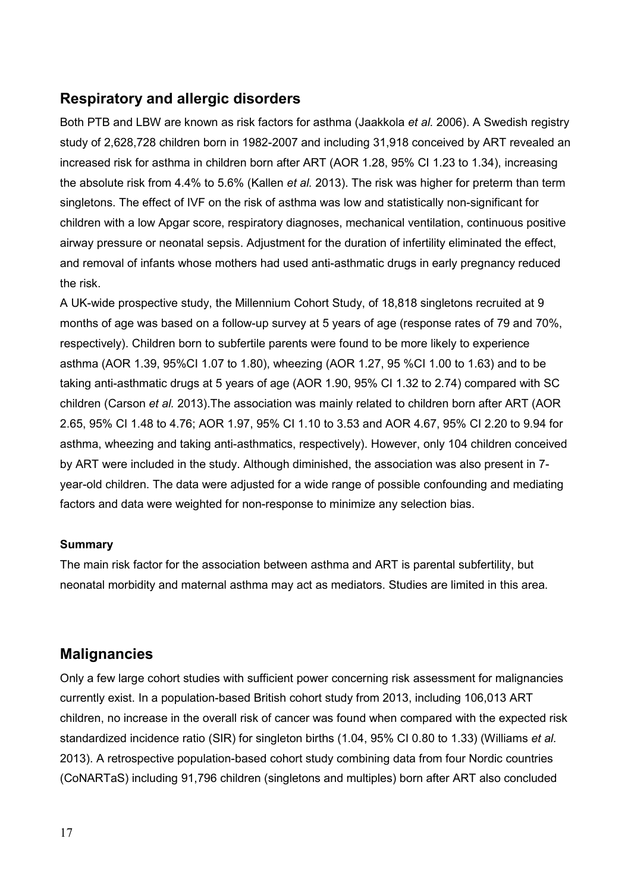## **Respiratory and allergic disorders**

Both PTB and LBW are known as risk factors for asthma (Jaakkola *et al.* 2006). A Swedish registry study of 2,628,728 children born in 1982-2007 and including 31,918 conceived by ART revealed an increased risk for asthma in children born after ART (AOR 1.28, 95% CI 1.23 to 1.34), increasing the absolute risk from 4.4% to 5.6% (Kallen *et al.* 2013). The risk was higher for preterm than term singletons. The effect of IVF on the risk of asthma was low and statistically non-significant for children with a low Apgar score, respiratory diagnoses, mechanical ventilation, continuous positive airway pressure or neonatal sepsis. Adjustment for the duration of infertility eliminated the effect, and removal of infants whose mothers had used anti-asthmatic drugs in early pregnancy reduced the risk.

A UK-wide prospective study, the Millennium Cohort Study, of 18,818 singletons recruited at 9 months of age was based on a follow-up survey at 5 years of age (response rates of 79 and 70%, respectively). Children born to subfertile parents were found to be more likely to experience asthma (AOR 1.39, 95%CI 1.07 to 1.80), wheezing (AOR 1.27, 95 %CI 1.00 to 1.63) and to be taking anti-asthmatic drugs at 5 years of age (AOR 1.90, 95% CI 1.32 to 2.74) compared with SC children (Carson *et al.* 2013).The association was mainly related to children born after ART (AOR 2.65, 95% CI 1.48 to 4.76; AOR 1.97, 95% CI 1.10 to 3.53 and AOR 4.67, 95% CI 2.20 to 9.94 for asthma, wheezing and taking anti-asthmatics, respectively). However, only 104 children conceived by ART were included in the study. Although diminished, the association was also present in 7 year-old children. The data were adjusted for a wide range of possible confounding and mediating factors and data were weighted for non-response to minimize any selection bias.

#### **Summary**

The main risk factor for the association between asthma and ART is parental subfertility, but neonatal morbidity and maternal asthma may act as mediators. Studies are limited in this area.

## **Malignancies**

Only a few large cohort studies with sufficient power concerning risk assessment for malignancies currently exist. In a population-based British cohort study from 2013, including 106,013 ART children, no increase in the overall risk of cancer was found when compared with the expected risk standardized incidence ratio (SIR) for singleton births (1.04, 95% CI 0.80 to 1.33) (Williams *et al.* 2013). A retrospective population-based cohort study combining data from four Nordic countries (CoNARTaS) including 91,796 children (singletons and multiples) born after ART also concluded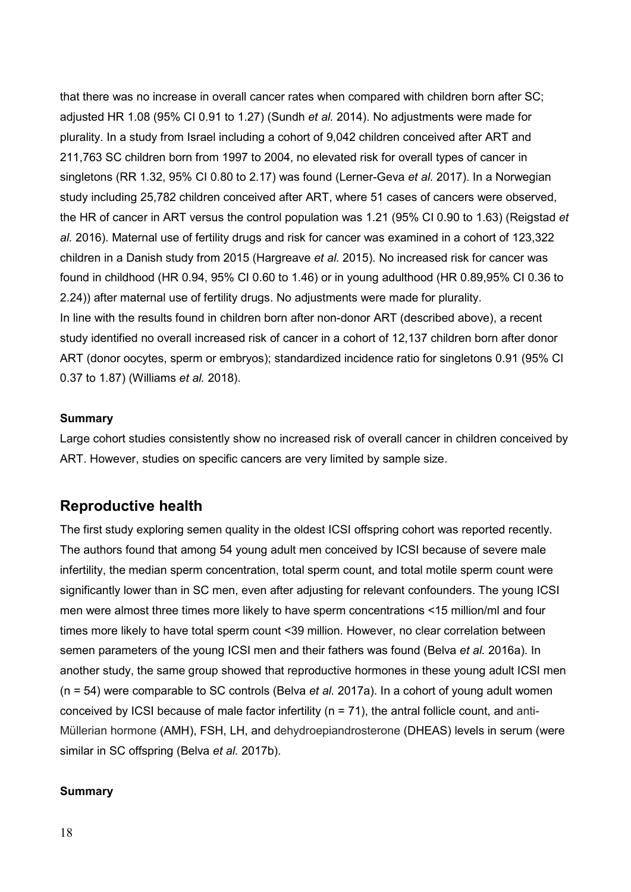that there was no increase in overall cancer rates when compared with children born after SC; adjusted HR 1.08 (95% CI 0.91 to 1.27) (Sundh *et al.* 2014). No adjustments were made for plurality. In a study from Israel including a cohort of 9,042 children conceived after ART and 211,763 SC children born from 1997 to 2004, no elevated risk for overall types of cancer in singletons (RR 1.32, 95% CI 0.80 to 2.17) was found (Lerner-Geva *et al.* 2017). In a Norwegian study including 25,782 children conceived after ART, where 51 cases of cancers were observed, the HR of cancer in ART versus the control population was 1.21 (95% CI 0.90 to 1.63) (Reigstad *et al.* 2016). Maternal use of fertility drugs and risk for cancer was examined in a cohort of 123,322 children in a Danish study from 2015 (Hargreave *et al.* 2015). No increased risk for cancer was found in childhood (HR 0.94, 95% CI 0.60 to 1.46) or in young adulthood (HR 0.89,95% CI 0.36 to 2.24)) after maternal use of fertility drugs. No adjustments were made for plurality. In line with the results found in children born after non-donor ART (described above), a recent study identified no overall increased risk of cancer in a cohort of 12,137 children born after donor ART (donor oocytes, sperm or embryos); standardized incidence ratio for singletons 0.91 (95% CI 0.37 to 1.87) (Williams *et al.* 2018).

#### **Summary**

Large cohort studies consistently show no increased risk of overall cancer in children conceived by ART. However, studies on specific cancers are very limited by sample size.

### **Reproductive health**

The first study exploring semen quality in the oldest ICSI offspring cohort was reported recently. The authors found that among 54 young adult men conceived by ICSI because of severe male infertility, the median sperm concentration, total sperm count, and total motile sperm count were significantly lower than in SC men, even after adjusting for relevant confounders. The young ICSI men were almost three times more likely to have sperm concentrations <15 million/ml and four times more likely to have total sperm count <39 million. However, no clear correlation between semen parameters of the young ICSI men and their fathers was found (Belva *et al.* 2016a). In another study, the same group showed that reproductive hormones in these young adult ICSI men (n = 54) were comparable to SC controls (Belva *et al.* 2017a). In a cohort of young adult women conceived by ICSI because of male factor infertility ( $n = 71$ ), the antral follicle count, and anti-Müllerian hormone (AMH), FSH, LH, and dehydroepiandrosterone (DHEAS) levels in serum (were similar in SC offspring (Belva *et al.* 2017b).

#### **Summary**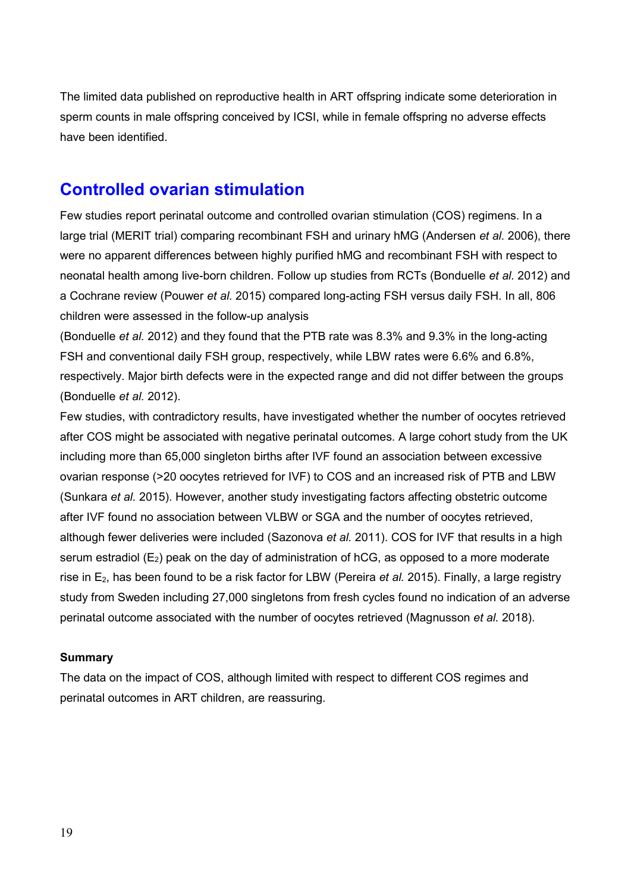The limited data published on reproductive health in ART offspring indicate some deterioration in sperm counts in male offspring conceived by ICSI, while in female offspring no adverse effects have been identified.

# **Controlled ovarian stimulation**

Few studies report perinatal outcome and controlled ovarian stimulation (COS) regimens. In a large trial (MERIT trial) comparing recombinant FSH and urinary hMG (Andersen *et al.* 2006), there were no apparent differences between highly purified hMG and recombinant FSH with respect to neonatal health among live-born children. Follow up studies from RCTs (Bonduelle *et al.* 2012) and a Cochrane review (Pouwer *et al.* 2015) compared long-acting FSH versus daily FSH. In all, 806 children were assessed in the follow-up analysis

(Bonduelle *et al.* 2012) and they found that the PTB rate was 8.3% and 9.3% in the long-acting FSH and conventional daily FSH group, respectively, while LBW rates were 6.6% and 6.8%, respectively. Major birth defects were in the expected range and did not differ between the groups (Bonduelle *et al.* 2012).

Few studies, with contradictory results, have investigated whether the number of oocytes retrieved after COS might be associated with negative perinatal outcomes. A large cohort study from the UK including more than 65,000 singleton births after IVF found an association between excessive ovarian response (>20 oocytes retrieved for IVF) to COS and an increased risk of PTB and LBW (Sunkara *et al.* 2015). However, another study investigating factors affecting obstetric outcome after IVF found no association between VLBW or SGA and the number of oocytes retrieved, although fewer deliveries were included (Sazonova *et al.* 2011). COS for IVF that results in a high serum estradiol  $(E_2)$  peak on the day of administration of hCG, as opposed to a more moderate rise in E2, has been found to be a risk factor for LBW (Pereira *et al.* 2015). Finally, a large registry study from Sweden including 27,000 singletons from fresh cycles found no indication of an adverse perinatal outcome associated with the number of oocytes retrieved (Magnusson *et al.* 2018).

#### **Summary**

The data on the impact of COS, although limited with respect to different COS regimes and perinatal outcomes in ART children, are reassuring.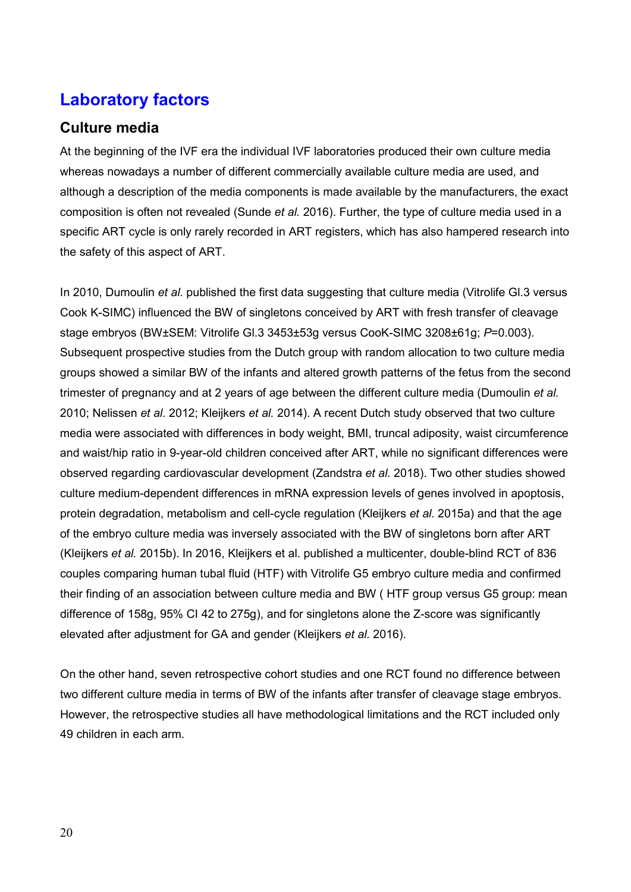# **Laboratory factors**

### **Culture media**

At the beginning of the IVF era the individual IVF laboratories produced their own culture media whereas nowadays a number of different commercially available culture media are used, and although a description of the media components is made available by the manufacturers, the exact composition is often not revealed (Sunde *et al.* 2016). Further, the type of culture media used in a specific ART cycle is only rarely recorded in ART registers, which has also hampered research into the safety of this aspect of ART.

In 2010, Dumoulin *et al.* published the first data suggesting that culture media (Vitrolife Gl.3 versus Cook K-SIMC) influenced the BW of singletons conceived by ART with fresh transfer of cleavage stage embryos (BW±SEM: Vitrolife Gl.3 3453±53g versus CooK-SIMC 3208±61g; *P*=0.003). Subsequent prospective studies from the Dutch group with random allocation to two culture media groups showed a similar BW of the infants and altered growth patterns of the fetus from the second trimester of pregnancy and at 2 years of age between the different culture media (Dumoulin *et al.* 2010; Nelissen *et al.* 2012; Kleijkers *et al.* 2014). A recent Dutch study observed that two culture media were associated with differences in body weight, BMI, truncal adiposity, waist circumference and waist/hip ratio in 9-year-old children conceived after ART, while no significant differences were observed regarding cardiovascular development (Zandstra *et al.* 2018). Two other studies showed culture medium-dependent differences in mRNA expression levels of genes involved in apoptosis, protein degradation, metabolism and cell-cycle regulation (Kleijkers *et al.* 2015a) and that the age of the embryo culture media was inversely associated with the BW of singletons born after ART (Kleijkers *et al.* 2015b). In 2016, Kleijkers et al. published a multicenter, double-blind RCT of 836 couples comparing human tubal fluid (HTF) with Vitrolife G5 embryo culture media and confirmed their finding of an association between culture media and BW ( HTF group versus G5 group: mean difference of 158g, 95% CI 42 to 275g), and for singletons alone the Z-score was significantly elevated after adjustment for GA and gender (Kleijkers *et al.* 2016).

On the other hand, seven retrospective cohort studies and one RCT found no difference between two different culture media in terms of BW of the infants after transfer of cleavage stage embryos. However, the retrospective studies all have methodological limitations and the RCT included only 49 children in each arm.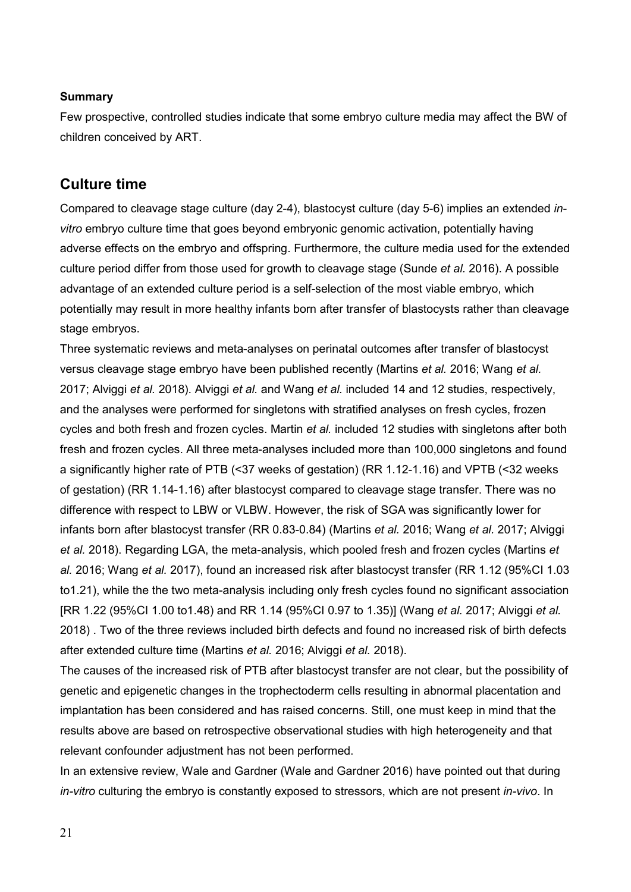#### **Summary**

Few prospective, controlled studies indicate that some embryo culture media may affect the BW of children conceived by ART.

### **Culture time**

Compared to cleavage stage culture (day 2-4), blastocyst culture (day 5-6) implies an extended *invitro* embryo culture time that goes beyond embryonic genomic activation, potentially having adverse effects on the embryo and offspring. Furthermore, the culture media used for the extended culture period differ from those used for growth to cleavage stage (Sunde *et al.* 2016). A possible advantage of an extended culture period is a self-selection of the most viable embryo, which potentially may result in more healthy infants born after transfer of blastocysts rather than cleavage stage embryos.

Three systematic reviews and meta-analyses on perinatal outcomes after transfer of blastocyst versus cleavage stage embryo have been published recently (Martins *et al.* 2016; Wang *et al.* 2017; Alviggi *et al.* 2018). Alviggi *et al.* and Wang *et al.* included 14 and 12 studies, respectively, and the analyses were performed for singletons with stratified analyses on fresh cycles, frozen cycles and both fresh and frozen cycles. Martin *et al.* included 12 studies with singletons after both fresh and frozen cycles. All three meta-analyses included more than 100,000 singletons and found a significantly higher rate of PTB (<37 weeks of gestation) (RR 1.12-1.16) and VPTB (<32 weeks of gestation) (RR 1.14-1.16) after blastocyst compared to cleavage stage transfer. There was no difference with respect to LBW or VLBW. However, the risk of SGA was significantly lower for infants born after blastocyst transfer (RR 0.83-0.84) (Martins *et al.* 2016; Wang *et al.* 2017; Alviggi *et al.* 2018). Regarding LGA, the meta-analysis, which pooled fresh and frozen cycles (Martins *et al.* 2016; Wang *et al.* 2017), found an increased risk after blastocyst transfer (RR 1.12 (95%CI 1.03 to1.21), while the the two meta-analysis including only fresh cycles found no significant association [RR 1.22 (95%CI 1.00 to1.48) and RR 1.14 (95%CI 0.97 to 1.35)] (Wang *et al.* 2017; Alviggi *et al.*  2018) . Two of the three reviews included birth defects and found no increased risk of birth defects after extended culture time (Martins *et al.* 2016; Alviggi *et al.* 2018).

The causes of the increased risk of PTB after blastocyst transfer are not clear, but the possibility of genetic and epigenetic changes in the trophectoderm cells resulting in abnormal placentation and implantation has been considered and has raised concerns. Still, one must keep in mind that the results above are based on retrospective observational studies with high heterogeneity and that relevant confounder adjustment has not been performed.

In an extensive review, Wale and Gardner (Wale and Gardner 2016) have pointed out that during *in-vitro* culturing the embryo is constantly exposed to stressors, which are not present *in-vivo*. In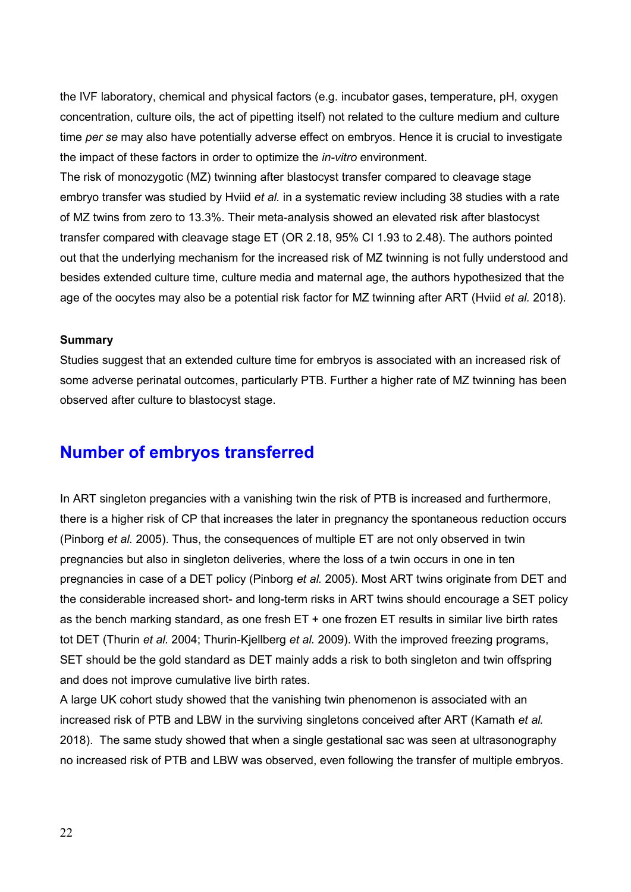the IVF laboratory, chemical and physical factors (e.g. incubator gases, temperature, pH, oxygen concentration, culture oils, the act of pipetting itself) not related to the culture medium and culture time *per se* may also have potentially adverse effect on embryos. Hence it is crucial to investigate the impact of these factors in order to optimize the *in-vitro* environment.

The risk of monozygotic (MZ) twinning after blastocyst transfer compared to cleavage stage embryo transfer was studied by Hviid *et al.* in a systematic review including 38 studies with a rate of MZ twins from zero to 13.3%. Their meta-analysis showed an elevated risk after blastocyst transfer compared with cleavage stage ET (OR 2.18, 95% CI 1.93 to 2.48). The authors pointed out that the underlying mechanism for the increased risk of MZ twinning is not fully understood and besides extended culture time, culture media and maternal age, the authors hypothesized that the age of the oocytes may also be a potential risk factor for MZ twinning after ART (Hviid *et al.* 2018).

#### **Summary**

Studies suggest that an extended culture time for embryos is associated with an increased risk of some adverse perinatal outcomes, particularly PTB. Further a higher rate of MZ twinning has been observed after culture to blastocyst stage.

## **Number of embryos transferred**

In ART singleton pregancies with a vanishing twin the risk of PTB is increased and furthermore, there is a higher risk of CP that increases the later in pregnancy the spontaneous reduction occurs (Pinborg *et al.* 2005). Thus, the consequences of multiple ET are not only observed in twin pregnancies but also in singleton deliveries, where the loss of a twin occurs in one in ten pregnancies in case of a DET policy (Pinborg *et al.* 2005). Most ART twins originate from DET and the considerable increased short- and long-term risks in ART twins should encourage a SET policy as the bench marking standard, as one fresh ET + one frozen ET results in similar live birth rates tot DET (Thurin *et al.* 2004; Thurin-Kjellberg *et al.* 2009). With the improved freezing programs, SET should be the gold standard as DET mainly adds a risk to both singleton and twin offspring and does not improve cumulative live birth rates.

A large UK cohort study showed that the vanishing twin phenomenon is associated with an increased risk of PTB and LBW in the surviving singletons conceived after ART (Kamath *et al.* 2018). The same study showed that when a single gestational sac was seen at ultrasonography no increased risk of PTB and LBW was observed, even following the transfer of multiple embryos.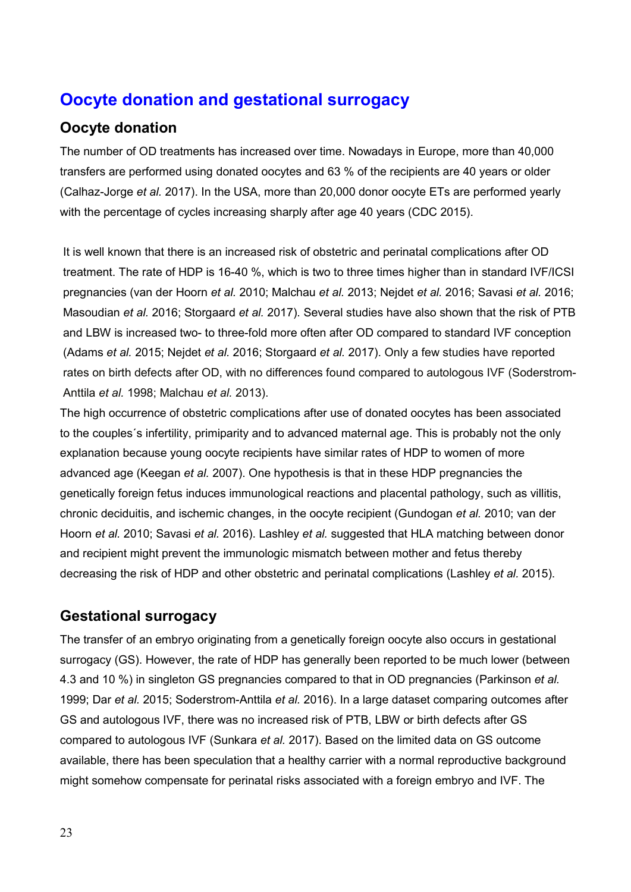# **Oocyte donation and gestational surrogacy**

## **Oocyte donation**

The number of OD treatments has increased over time. Nowadays in Europe, more than 40,000 transfers are performed using donated oocytes and 63 % of the recipients are 40 years or older (Calhaz-Jorge *et al.* 2017). In the USA, more than 20,000 donor oocyte ETs are performed yearly with the percentage of cycles increasing sharply after age 40 years (CDC 2015).

It is well known that there is an increased risk of obstetric and perinatal complications after OD treatment. The rate of HDP is 16-40 %, which is two to three times higher than in standard IVF/ICSI pregnancies (van der Hoorn *et al.* 2010; Malchau *et al.* 2013; Nejdet *et al.* 2016; Savasi *et al.* 2016; Masoudian *et al.* 2016; Storgaard *et al.* 2017). Several studies have also shown that the risk of PTB and LBW is increased two- to three-fold more often after OD compared to standard IVF conception (Adams *et al.* 2015; Nejdet *et al.* 2016; Storgaard *et al.* 2017). Only a few studies have reported rates on birth defects after OD, with no differences found compared to autologous IVF (Soderstrom-Anttila *et al.* 1998; Malchau *et al.* 2013).

The high occurrence of obstetric complications after use of donated oocytes has been associated to the couples´s infertility, primiparity and to advanced maternal age. This is probably not the only explanation because young oocyte recipients have similar rates of HDP to women of more advanced age (Keegan *et al.* 2007). One hypothesis is that in these HDP pregnancies the genetically foreign fetus induces immunological reactions and placental pathology, such as villitis, chronic deciduitis, and ischemic changes, in the oocyte recipient (Gundogan *et al.* 2010; van der Hoorn *et al.* 2010; Savasi *et al.* 2016). Lashley *et al.* suggested that HLA matching between donor and recipient might prevent the immunologic mismatch between mother and fetus thereby decreasing the risk of HDP and other obstetric and perinatal complications (Lashley *et al.* 2015).

## **Gestational surrogacy**

The transfer of an embryo originating from a genetically foreign oocyte also occurs in gestational surrogacy (GS). However, the rate of HDP has generally been reported to be much lower (between 4.3 and 10 %) in singleton GS pregnancies compared to that in OD pregnancies (Parkinson *et al.* 1999; Dar *et al.* 2015; Soderstrom-Anttila *et al.* 2016). In a large dataset comparing outcomes after GS and autologous IVF, there was no increased risk of PTB, LBW or birth defects after GS compared to autologous IVF (Sunkara *et al.* 2017). Based on the limited data on GS outcome available, there has been speculation that a healthy carrier with a normal reproductive background might somehow compensate for perinatal risks associated with a foreign embryo and IVF. The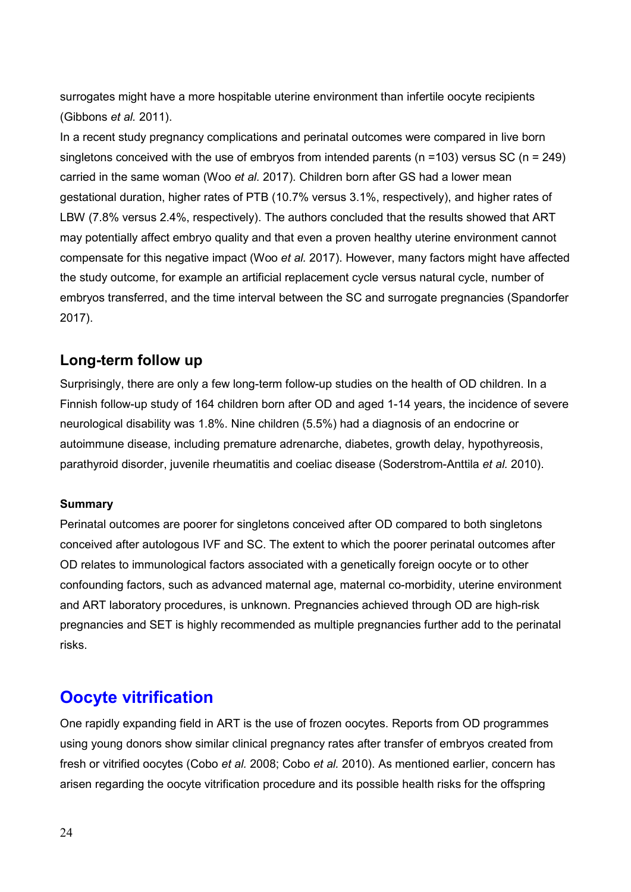surrogates might have a more hospitable uterine environment than infertile oocyte recipients (Gibbons *et al.* 2011).

In a recent study pregnancy complications and perinatal outcomes were compared in live born singletons conceived with the use of embryos from intended parents ( $n = 103$ ) versus SC ( $n = 249$ ) carried in the same woman (Woo *et al.* 2017). Children born after GS had a lower mean gestational duration, higher rates of PTB (10.7% versus 3.1%, respectively), and higher rates of LBW (7.8% versus 2.4%, respectively). The authors concluded that the results showed that ART may potentially affect embryo quality and that even a proven healthy uterine environment cannot compensate for this negative impact (Woo *et al.* 2017). However, many factors might have affected the study outcome, for example an artificial replacement cycle versus natural cycle, number of embryos transferred, and the time interval between the SC and surrogate pregnancies (Spandorfer 2017).

### **Long-term follow up**

Surprisingly, there are only a few long-term follow-up studies on the health of OD children. In a Finnish follow-up study of 164 children born after OD and aged 1-14 years, the incidence of severe neurological disability was 1.8%. Nine children (5.5%) had a diagnosis of an endocrine or autoimmune disease, including premature adrenarche, diabetes, growth delay, hypothyreosis, parathyroid disorder, juvenile rheumatitis and coeliac disease (Soderstrom-Anttila *et al.* 2010).

#### **Summary**

Perinatal outcomes are poorer for singletons conceived after OD compared to both singletons conceived after autologous IVF and SC. The extent to which the poorer perinatal outcomes after OD relates to immunological factors associated with a genetically foreign oocyte or to other confounding factors, such as advanced maternal age, maternal co-morbidity, uterine environment and ART laboratory procedures, is unknown. Pregnancies achieved through OD are high-risk pregnancies and SET is highly recommended as multiple pregnancies further add to the perinatal risks.

# **Oocyte vitrification**

One rapidly expanding field in ART is the use of frozen oocytes. Reports from OD programmes using young donors show similar clinical pregnancy rates after transfer of embryos created from fresh or vitrified oocytes (Cobo *et al.* 2008; Cobo *et al.* 2010). As mentioned earlier, concern has arisen regarding the oocyte vitrification procedure and its possible health risks for the offspring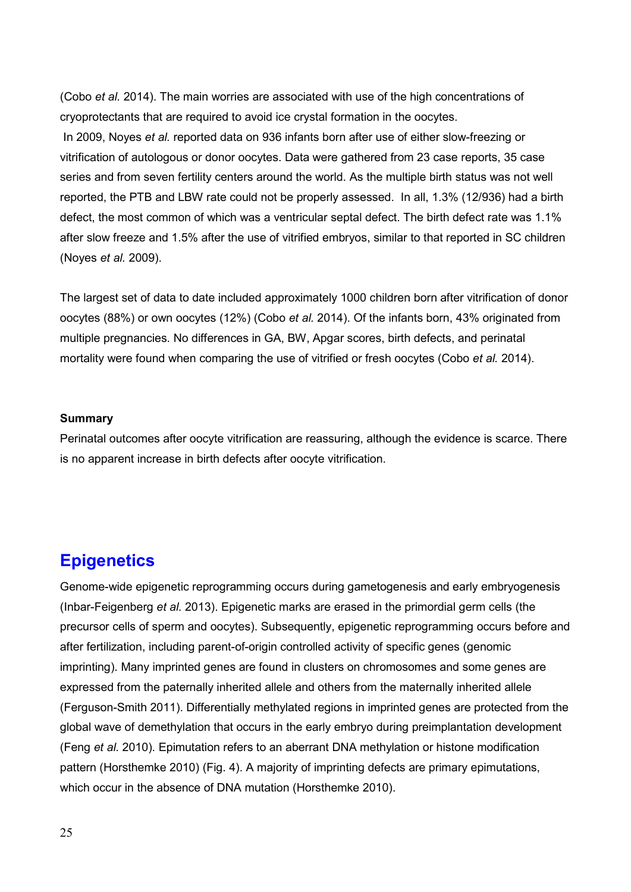(Cobo *et al.* 2014). The main worries are associated with use of the high concentrations of cryoprotectants that are required to avoid ice crystal formation in the oocytes.

In 2009, Noyes *et al.* reported data on 936 infants born after use of either slow-freezing or vitrification of autologous or donor oocytes. Data were gathered from 23 case reports, 35 case series and from seven fertility centers around the world. As the multiple birth status was not well reported, the PTB and LBW rate could not be properly assessed. In all, 1.3% (12/936) had a birth defect, the most common of which was a ventricular septal defect. The birth defect rate was 1.1% after slow freeze and 1.5% after the use of vitrified embryos, similar to that reported in SC children (Noyes *et al.* 2009).

The largest set of data to date included approximately 1000 children born after vitrification of donor oocytes (88%) or own oocytes (12%) (Cobo *et al.* 2014). Of the infants born, 43% originated from multiple pregnancies. No differences in GA, BW, Apgar scores, birth defects, and perinatal mortality were found when comparing the use of vitrified or fresh oocytes (Cobo *et al.* 2014).

#### **Summary**

Perinatal outcomes after oocyte vitrification are reassuring, although the evidence is scarce. There is no apparent increase in birth defects after oocyte vitrification.

# **Epigenetics**

Genome-wide epigenetic reprogramming occurs during gametogenesis and early embryogenesis (Inbar-Feigenberg *et al.* 2013). Epigenetic marks are erased in the primordial germ cells (the precursor cells of sperm and oocytes). Subsequently, epigenetic reprogramming occurs before and after fertilization, including parent-of-origin controlled activity of specific genes (genomic imprinting). Many imprinted genes are found in clusters on chromosomes and some genes are expressed from the paternally inherited allele and others from the maternally inherited allele (Ferguson-Smith 2011). Differentially methylated regions in imprinted genes are protected from the global wave of demethylation that occurs in the early embryo during preimplantation development (Feng *et al.* 2010). Epimutation refers to an aberrant DNA methylation or histone modification pattern (Horsthemke 2010) (Fig. 4). A majority of imprinting defects are primary epimutations, which occur in the absence of DNA mutation (Horsthemke 2010).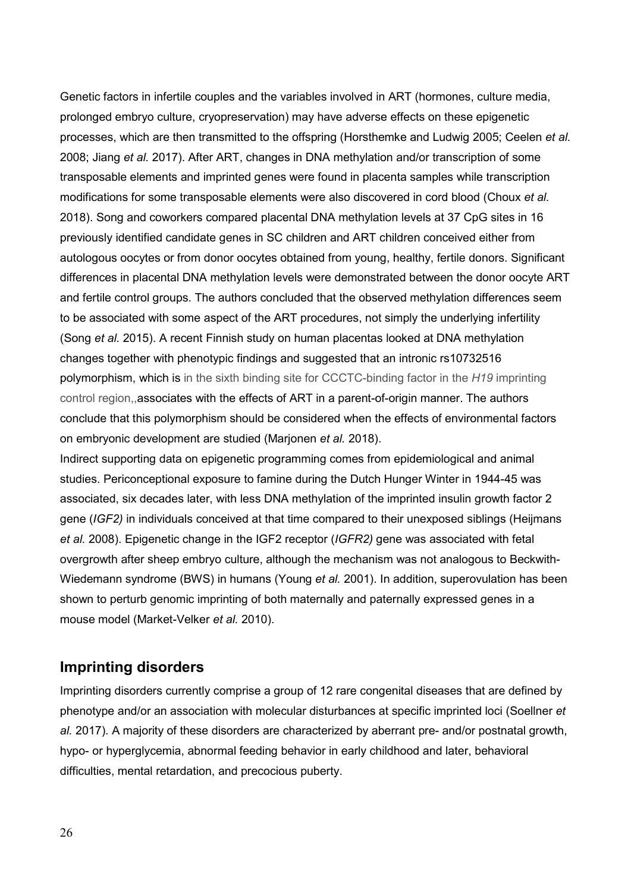Genetic factors in infertile couples and the variables involved in ART (hormones, culture media, prolonged embryo culture, cryopreservation) may have adverse effects on these epigenetic processes, which are then transmitted to the offspring (Horsthemke and Ludwig 2005; Ceelen *et al.* 2008; Jiang *et al.* 2017). After ART, changes in DNA methylation and/or transcription of some transposable elements and imprinted genes were found in placenta samples while transcription modifications for some transposable elements were also discovered in cord blood (Choux *et al.* 2018). Song and coworkers compared placental DNA methylation levels at 37 CpG sites in 16 previously identified candidate genes in SC children and ART children conceived either from autologous oocytes or from donor oocytes obtained from young, healthy, fertile donors. Significant differences in placental DNA methylation levels were demonstrated between the donor oocyte ART and fertile control groups. The authors concluded that the observed methylation differences seem to be associated with some aspect of the ART procedures, not simply the underlying infertility (Song *et al.* 2015). A recent Finnish study on human placentas looked at DNA methylation changes together with phenotypic findings and suggested that an intronic rs10732516 polymorphism, which is in the sixth binding site for CCCTC-binding factor in the *H19* imprinting control region,,associates with the effects of ART in a parent-of-origin manner. The authors conclude that this polymorphism should be considered when the effects of environmental factors on embryonic development are studied (Marjonen *et al.* 2018).

Indirect supporting data on epigenetic programming comes from epidemiological and animal studies. Periconceptional exposure to famine during the Dutch Hunger Winter in 1944-45 was associated, six decades later, with less DNA methylation of the imprinted insulin growth factor 2 gene (*IGF2)* in individuals conceived at that time compared to their unexposed siblings (Heijmans *et al.* 2008). Epigenetic change in the IGF2 receptor (*IGFR2)* gene was associated with fetal overgrowth after sheep embryo culture, although the mechanism was not analogous to Beckwith-Wiedemann syndrome (BWS) in humans (Young *et al.* 2001). In addition, superovulation has been shown to perturb genomic imprinting of both maternally and paternally expressed genes in a mouse model (Market-Velker *et al.* 2010).

### **Imprinting disorders**

Imprinting disorders currently comprise a group of 12 rare congenital diseases that are defined by phenotype and/or an association with molecular disturbances at specific imprinted loci (Soellner *et al.* 2017). A majority of these disorders are characterized by aberrant pre- and/or postnatal growth, hypo- or hyperglycemia, abnormal feeding behavior in early childhood and later, behavioral difficulties, mental retardation, and precocious puberty.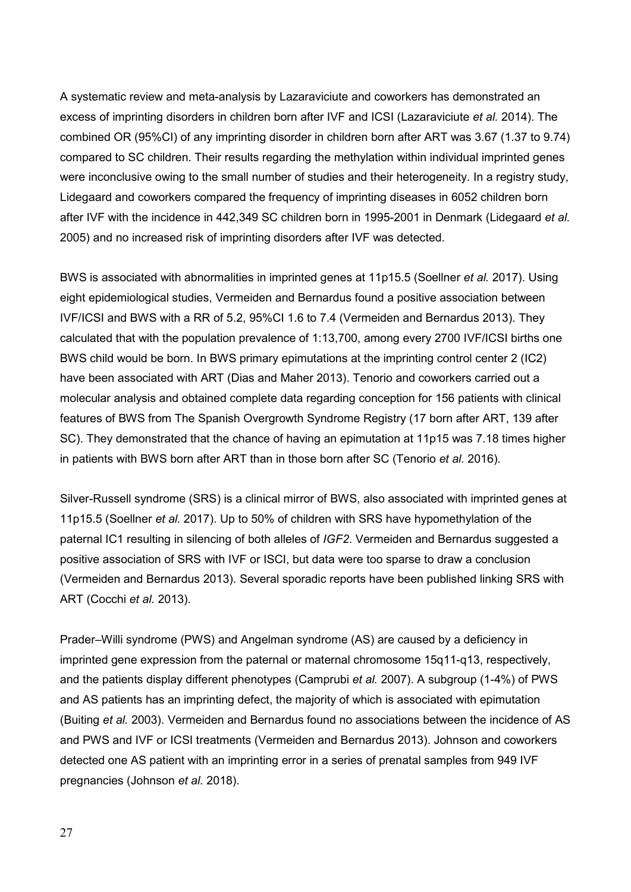A systematic review and meta-analysis by Lazaraviciute and coworkers has demonstrated an excess of imprinting disorders in children born after IVF and ICSI (Lazaraviciute *et al.* 2014). The combined OR (95%CI) of any imprinting disorder in children born after ART was 3.67 (1.37 to 9.74) compared to SC children. Their results regarding the methylation within individual imprinted genes were inconclusive owing to the small number of studies and their heterogeneity. In a registry study, Lidegaard and coworkers compared the frequency of imprinting diseases in 6052 children born after IVF with the incidence in 442,349 SC children born in 1995-2001 in Denmark (Lidegaard *et al.* 2005) and no increased risk of imprinting disorders after IVF was detected.

BWS is associated with abnormalities in imprinted genes at 11p15.5 (Soellner *et al.* 2017). Using eight epidemiological studies, Vermeiden and Bernardus found a positive association between IVF/ICSI and BWS with a RR of 5.2, 95%CI 1.6 to 7.4 (Vermeiden and Bernardus 2013). They calculated that with the population prevalence of 1:13,700, among every 2700 IVF/ICSI births one BWS child would be born. In BWS primary epimutations at the imprinting control center 2 (IC2) have been associated with ART (Dias and Maher 2013). Tenorio and coworkers carried out a molecular analysis and obtained complete data regarding conception for 156 patients with clinical features of BWS from The Spanish Overgrowth Syndrome Registry (17 born after ART, 139 after SC). They demonstrated that the chance of having an epimutation at 11p15 was 7.18 times higher in patients with BWS born after ART than in those born after SC (Tenorio *et al.* 2016).

Silver-Russell syndrome (SRS) is a clinical mirror of BWS, also associated with imprinted genes at 11p15.5 (Soellner *et al.* 2017). Up to 50% of children with SRS have hypomethylation of the paternal IC1 resulting in silencing of both alleles of *IGF2*. Vermeiden and Bernardus suggested a positive association of SRS with IVF or ISCI, but data were too sparse to draw a conclusion (Vermeiden and Bernardus 2013). Several sporadic reports have been published linking SRS with ART (Cocchi *et al.* 2013).

Prader–Willi syndrome (PWS) and Angelman syndrome (AS) are caused by a deficiency in imprinted gene expression from the paternal or maternal chromosome 15q11-q13, respectively, and the patients display different phenotypes (Camprubi *et al.* 2007). A subgroup (1-4%) of PWS and AS patients has an imprinting defect, the majority of which is associated with epimutation (Buiting *et al.* 2003). Vermeiden and Bernardus found no associations between the incidence of AS and PWS and IVF or ICSI treatments (Vermeiden and Bernardus 2013). Johnson and coworkers detected one AS patient with an imprinting error in a series of prenatal samples from 949 IVF pregnancies (Johnson *et al.* 2018).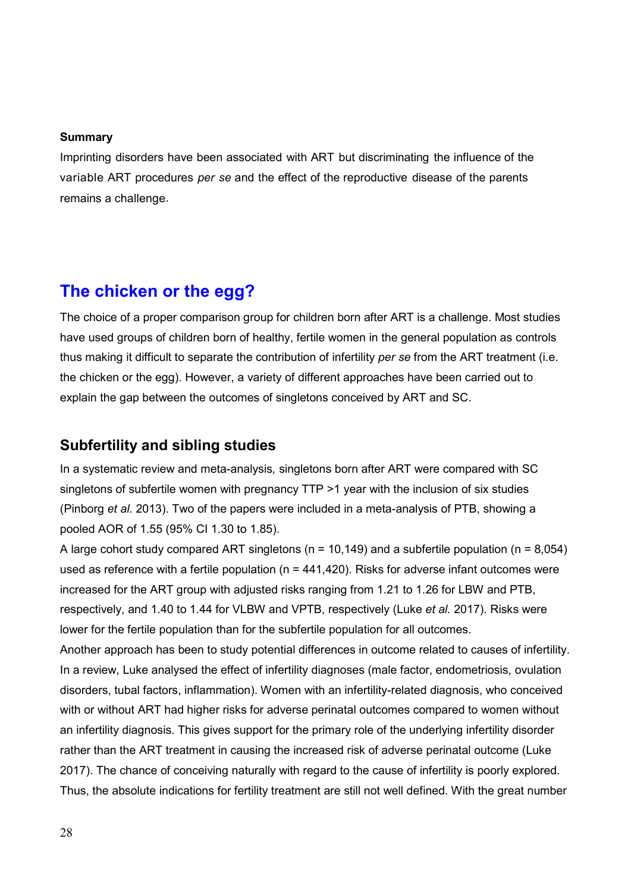#### **Summary**

Imprinting disorders have been associated with ART but discriminating the influence of the variable ART procedures *per se* and the effect of the reproductive disease of the parents remains a challenge.

## **The chicken or the egg?**

The choice of a proper comparison group for children born after ART is a challenge. Most studies have used groups of children born of healthy, fertile women in the general population as controls thus making it difficult to separate the contribution of infertility *per se* from the ART treatment (i.e. the chicken or the egg). However, a variety of different approaches have been carried out to explain the gap between the outcomes of singletons conceived by ART and SC.

### **Subfertility and sibling studies**

In a systematic review and meta-analysis*,* singletons born after ART were compared with SC singletons of subfertile women with pregnancy TTP >1 year with the inclusion of six studies (Pinborg *et al.* 2013). Two of the papers were included in a meta-analysis of PTB, showing a pooled AOR of 1.55 (95% CI 1.30 to 1.85).

A large cohort study compared ART singletons ( $n = 10,149$ ) and a subfertile population ( $n = 8,054$ ) used as reference with a fertile population ( $n = 441,420$ ). Risks for adverse infant outcomes were increased for the ART group with adjusted risks ranging from 1.21 to 1.26 for LBW and PTB, respectively, and 1.40 to 1.44 for VLBW and VPTB, respectively (Luke *et al.* 2017). Risks were lower for the fertile population than for the subfertile population for all outcomes.

Another approach has been to study potential differences in outcome related to causes of infertility. In a review, Luke analysed the effect of infertility diagnoses (male factor, endometriosis, ovulation disorders, tubal factors, inflammation). Women with an infertility-related diagnosis, who conceived with or without ART had higher risks for adverse perinatal outcomes compared to women without an infertility diagnosis. This gives support for the primary role of the underlying infertility disorder rather than the ART treatment in causing the increased risk of adverse perinatal outcome (Luke 2017). The chance of conceiving naturally with regard to the cause of infertility is poorly explored. Thus, the absolute indications for fertility treatment are still not well defined. With the great number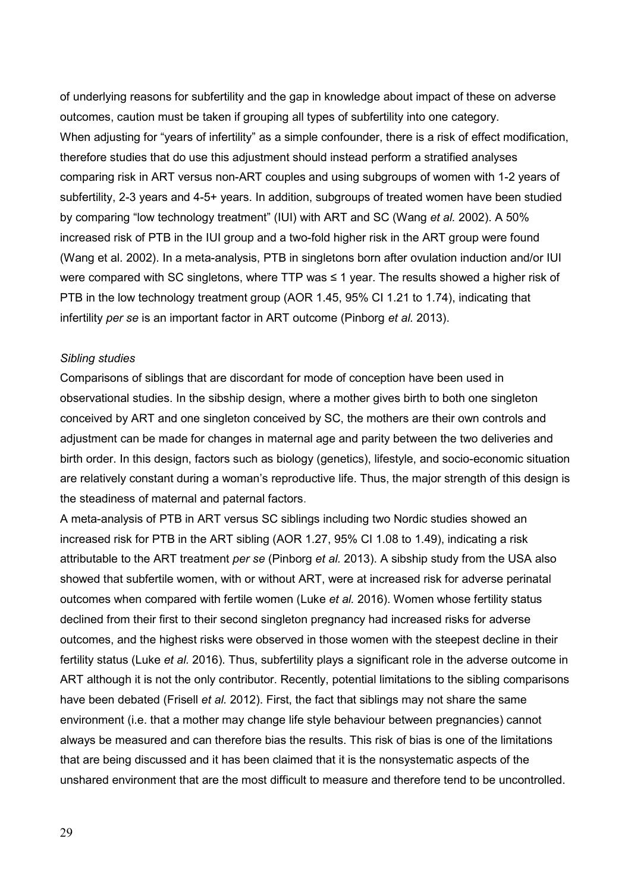of underlying reasons for subfertility and the gap in knowledge about impact of these on adverse outcomes, caution must be taken if grouping all types of subfertility into one category. When adjusting for "years of infertility" as a simple confounder, there is a risk of effect modification, therefore studies that do use this adjustment should instead perform a stratified analyses comparing risk in ART versus non-ART couples and using subgroups of women with 1-2 years of subfertility, 2-3 years and 4-5+ years. In addition, subgroups of treated women have been studied by comparing "low technology treatment" (IUI) with ART and SC (Wang *et al.* 2002). A 50% increased risk of PTB in the IUI group and a two-fold higher risk in the ART group were found (Wang et al. 2002). In a meta-analysis, PTB in singletons born after ovulation induction and/or IUI were compared with SC singletons, where TTP was ≤ 1 year. The results showed a higher risk of PTB in the low technology treatment group (AOR 1.45, 95% CI 1.21 to 1.74), indicating that infertility *per se* is an important factor in ART outcome (Pinborg *et al.* 2013).

#### *Sibling studies*

Comparisons of siblings that are discordant for mode of conception have been used in observational studies. In the sibship design, where a mother gives birth to both one singleton conceived by ART and one singleton conceived by SC, the mothers are their own controls and adjustment can be made for changes in maternal age and parity between the two deliveries and birth order. In this design, factors such as biology (genetics), lifestyle, and socio-economic situation are relatively constant during a woman's reproductive life. Thus, the major strength of this design is the steadiness of maternal and paternal factors.

A meta-analysis of PTB in ART versus SC siblings including two Nordic studies showed an increased risk for PTB in the ART sibling (AOR 1.27, 95% CI 1.08 to 1.49), indicating a risk attributable to the ART treatment *per se* (Pinborg *et al.* 2013). A sibship study from the USA also showed that subfertile women, with or without ART, were at increased risk for adverse perinatal outcomes when compared with fertile women (Luke *et al.* 2016). Women whose fertility status declined from their first to their second singleton pregnancy had increased risks for adverse outcomes, and the highest risks were observed in those women with the steepest decline in their fertility status (Luke *et al.* 2016). Thus, subfertility plays a significant role in the adverse outcome in ART although it is not the only contributor. Recently, potential limitations to the sibling comparisons have been debated (Frisell *et al.* 2012). First, the fact that siblings may not share the same environment (i.e. that a mother may change life style behaviour between pregnancies) cannot always be measured and can therefore bias the results. This risk of bias is one of the limitations that are being discussed and it has been claimed that it is the nonsystematic aspects of the unshared environment that are the most difficult to measure and therefore tend to be uncontrolled.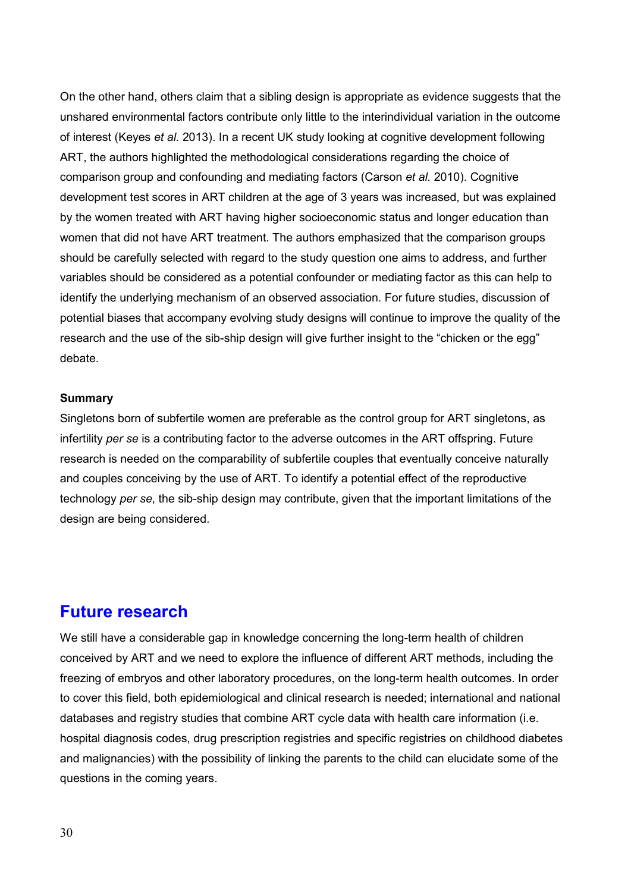On the other hand, others claim that a sibling design is appropriate as evidence suggests that the unshared environmental factors contribute only little to the interindividual variation in the outcome of interest (Keyes *et al.* 2013). In a recent UK study looking at cognitive development following ART, the authors highlighted the methodological considerations regarding the choice of comparison group and confounding and mediating factors (Carson *et al.* 2010). Cognitive development test scores in ART children at the age of 3 years was increased, but was explained by the women treated with ART having higher socioeconomic status and longer education than women that did not have ART treatment. The authors emphasized that the comparison groups should be carefully selected with regard to the study question one aims to address, and further variables should be considered as a potential confounder or mediating factor as this can help to identify the underlying mechanism of an observed association. For future studies, discussion of potential biases that accompany evolving study designs will continue to improve the quality of the research and the use of the sib-ship design will give further insight to the "chicken or the egg" debate.

#### **Summary**

Singletons born of subfertile women are preferable as the control group for ART singletons, as infertility *per se* is a contributing factor to the adverse outcomes in the ART offspring. Future research is needed on the comparability of subfertile couples that eventually conceive naturally and couples conceiving by the use of ART. To identify a potential effect of the reproductive technology *per se*, the sib-ship design may contribute, given that the important limitations of the design are being considered.

## **Future research**

We still have a considerable gap in knowledge concerning the long-term health of children conceived by ART and we need to explore the influence of different ART methods, including the freezing of embryos and other laboratory procedures, on the long-term health outcomes. In order to cover this field, both epidemiological and clinical research is needed; international and national databases and registry studies that combine ART cycle data with health care information (i.e. hospital diagnosis codes, drug prescription registries and specific registries on childhood diabetes and malignancies) with the possibility of linking the parents to the child can elucidate some of the questions in the coming years.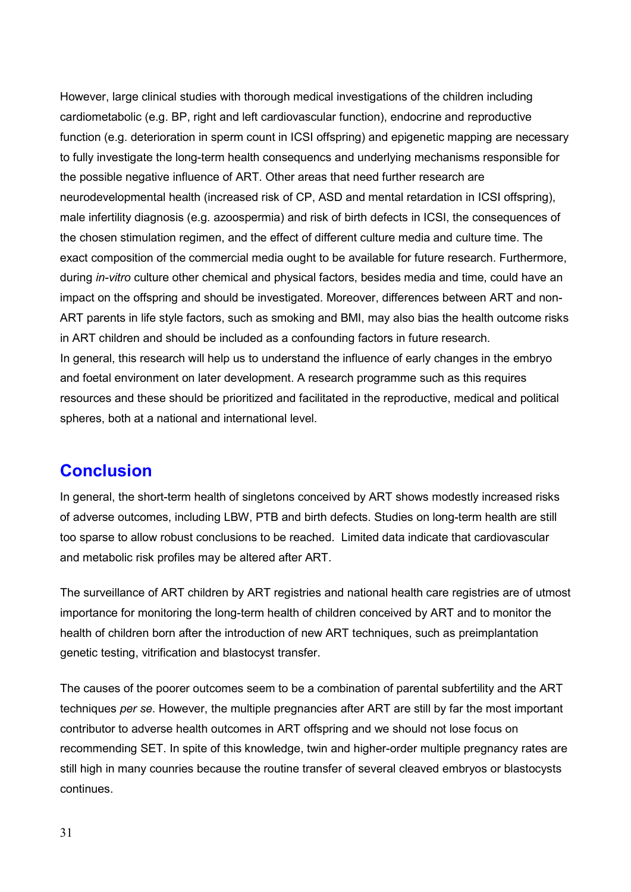However, large clinical studies with thorough medical investigations of the children including cardiometabolic (e.g. BP, right and left cardiovascular function), endocrine and reproductive function (e.g. deterioration in sperm count in ICSI offspring) and epigenetic mapping are necessary to fully investigate the long-term health consequencs and underlying mechanisms responsible for the possible negative influence of ART. Other areas that need further research are neurodevelopmental health (increased risk of CP, ASD and mental retardation in ICSI offspring), male infertility diagnosis (e.g. azoospermia) and risk of birth defects in ICSI, the consequences of the chosen stimulation regimen, and the effect of different culture media and culture time. The exact composition of the commercial media ought to be available for future research. Furthermore, during *in-vitro* culture other chemical and physical factors, besides media and time, could have an impact on the offspring and should be investigated. Moreover, differences between ART and non-ART parents in life style factors, such as smoking and BMI, may also bias the health outcome risks in ART children and should be included as a confounding factors in future research. In general, this research will help us to understand the influence of early changes in the embryo and foetal environment on later development. A research programme such as this requires resources and these should be prioritized and facilitated in the reproductive, medical and political spheres, both at a national and international level.

## **Conclusion**

In general, the short-term health of singletons conceived by ART shows modestly increased risks of adverse outcomes, including LBW, PTB and birth defects. Studies on long-term health are still too sparse to allow robust conclusions to be reached. Limited data indicate that cardiovascular and metabolic risk profiles may be altered after ART.

The surveillance of ART children by ART registries and national health care registries are of utmost importance for monitoring the long-term health of children conceived by ART and to monitor the health of children born after the introduction of new ART techniques, such as preimplantation genetic testing, vitrification and blastocyst transfer.

The causes of the poorer outcomes seem to be a combination of parental subfertility and the ART techniques *per se*. However, the multiple pregnancies after ART are still by far the most important contributor to adverse health outcomes in ART offspring and we should not lose focus on recommending SET. In spite of this knowledge, twin and higher-order multiple pregnancy rates are still high in many counries because the routine transfer of several cleaved embryos or blastocysts continues.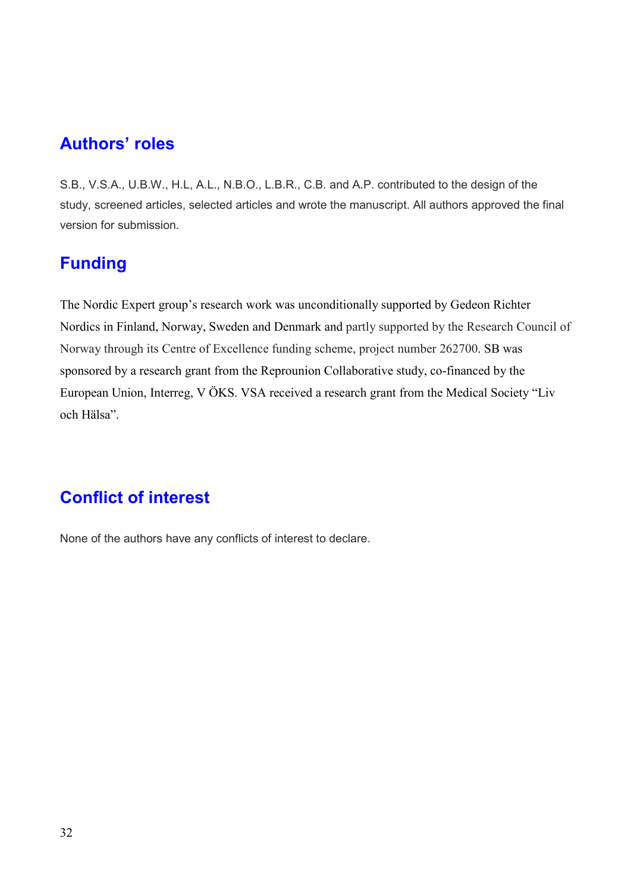# **Authors' roles**

S.B., V.S.A., U.B.W., H.L, A.L., N.B.O., L.B.R., C.B. and A.P. contributed to the design of the study, screened articles, selected articles and wrote the manuscript. All authors approved the final version for submission.

# **Funding**

The Nordic Expert group's research work was unconditionally supported by Gedeon Richter Nordics in Finland, Norway, Sweden and Denmark and partly supported by the Research Council of Norway through its Centre of Excellence funding scheme, project number 262700. SB was sponsored by a research grant from the Reprounion Collaborative study, co-financed by the European Union, Interreg, V ÖKS. VSA received a research grant from the Medical Society "Liv och Hälsa".

# **Conflict of interest**

None of the authors have any conflicts of interest to declare.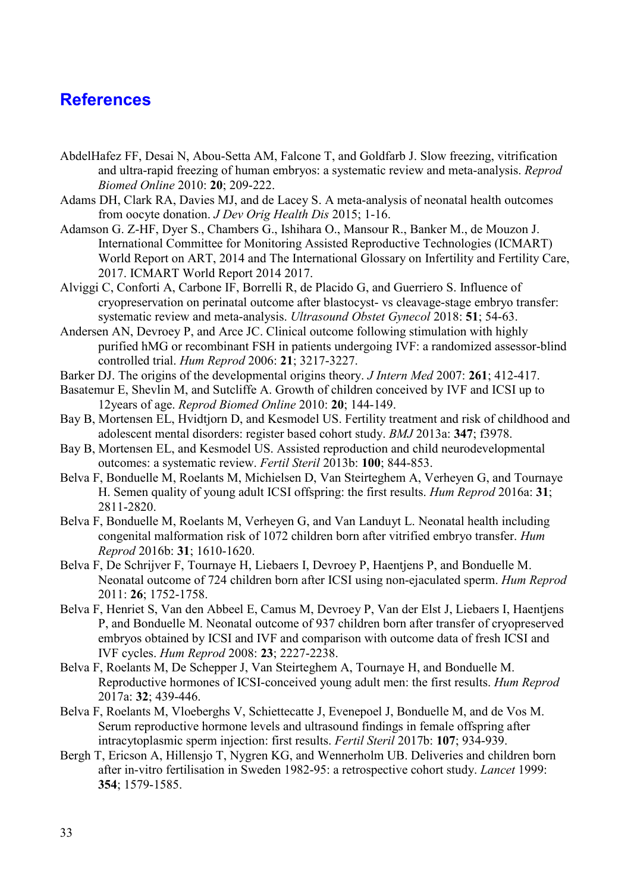## **References**

- AbdelHafez FF, Desai N, Abou-Setta AM, Falcone T, and Goldfarb J. Slow freezing, vitrification and ultra-rapid freezing of human embryos: a systematic review and meta-analysis. *Reprod Biomed Online* 2010: **20**; 209-222.
- Adams DH, Clark RA, Davies MJ, and de Lacey S. A meta-analysis of neonatal health outcomes from oocyte donation. *J Dev Orig Health Dis* 2015; 1-16.
- Adamson G. Z-HF, Dyer S., Chambers G., Ishihara O., Mansour R., Banker M., de Mouzon J. International Committee for Monitoring Assisted Reproductive Technologies (ICMART) World Report on ART, 2014 and The International Glossary on Infertility and Fertility Care, 2017. ICMART World Report 2014 2017.
- Alviggi C, Conforti A, Carbone IF, Borrelli R, de Placido G, and Guerriero S. Influence of cryopreservation on perinatal outcome after blastocyst- vs cleavage-stage embryo transfer: systematic review and meta-analysis. *Ultrasound Obstet Gynecol* 2018: **51**; 54-63.
- Andersen AN, Devroey P, and Arce JC. Clinical outcome following stimulation with highly purified hMG or recombinant FSH in patients undergoing IVF: a randomized assessor-blind controlled trial. *Hum Reprod* 2006: **21**; 3217-3227.
- Barker DJ. The origins of the developmental origins theory. *J Intern Med* 2007: **261**; 412-417.
- Basatemur E, Shevlin M, and Sutcliffe A. Growth of children conceived by IVF and ICSI up to 12years of age. *Reprod Biomed Online* 2010: **20**; 144-149.
- Bay B, Mortensen EL, Hvidtjorn D, and Kesmodel US. Fertility treatment and risk of childhood and adolescent mental disorders: register based cohort study. *BMJ* 2013a: **347**; f3978.
- Bay B, Mortensen EL, and Kesmodel US. Assisted reproduction and child neurodevelopmental outcomes: a systematic review. *Fertil Steril* 2013b: **100**; 844-853.
- Belva F, Bonduelle M, Roelants M, Michielsen D, Van Steirteghem A, Verheyen G, and Tournaye H. Semen quality of young adult ICSI offspring: the first results. *Hum Reprod* 2016a: **31**; 2811-2820.
- Belva F, Bonduelle M, Roelants M, Verheyen G, and Van Landuyt L. Neonatal health including congenital malformation risk of 1072 children born after vitrified embryo transfer. *Hum Reprod* 2016b: **31**; 1610-1620.
- Belva F, De Schrijver F, Tournaye H, Liebaers I, Devroey P, Haentjens P, and Bonduelle M. Neonatal outcome of 724 children born after ICSI using non-ejaculated sperm. *Hum Reprod* 2011: **26**; 1752-1758.
- Belva F, Henriet S, Van den Abbeel E, Camus M, Devroey P, Van der Elst J, Liebaers I, Haentjens P, and Bonduelle M. Neonatal outcome of 937 children born after transfer of cryopreserved embryos obtained by ICSI and IVF and comparison with outcome data of fresh ICSI and IVF cycles. *Hum Reprod* 2008: **23**; 2227-2238.
- Belva F, Roelants M, De Schepper J, Van Steirteghem A, Tournaye H, and Bonduelle M. Reproductive hormones of ICSI-conceived young adult men: the first results. *Hum Reprod* 2017a: **32**; 439-446.
- Belva F, Roelants M, Vloeberghs V, Schiettecatte J, Evenepoel J, Bonduelle M, and de Vos M. Serum reproductive hormone levels and ultrasound findings in female offspring after intracytoplasmic sperm injection: first results. *Fertil Steril* 2017b: **107**; 934-939.
- Bergh T, Ericson A, Hillensjo T, Nygren KG, and Wennerholm UB. Deliveries and children born after in-vitro fertilisation in Sweden 1982-95: a retrospective cohort study. *Lancet* 1999: **354**; 1579-1585.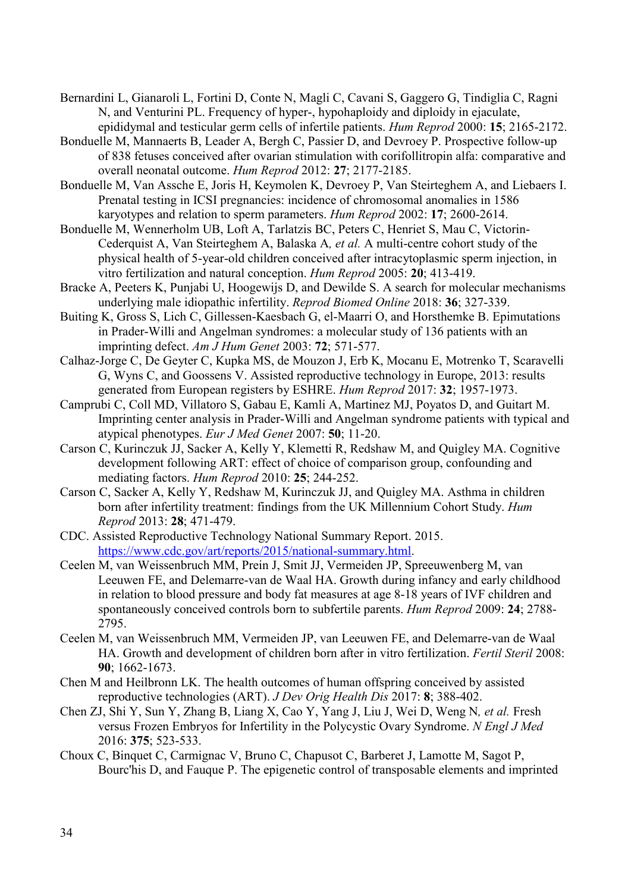Bernardini L, Gianaroli L, Fortini D, Conte N, Magli C, Cavani S, Gaggero G, Tindiglia C, Ragni N, and Venturini PL. Frequency of hyper-, hypohaploidy and diploidy in ejaculate, epididymal and testicular germ cells of infertile patients. *Hum Reprod* 2000: **15**; 2165-2172.

Bonduelle M, Mannaerts B, Leader A, Bergh C, Passier D, and Devroey P. Prospective follow-up of 838 fetuses conceived after ovarian stimulation with corifollitropin alfa: comparative and overall neonatal outcome. *Hum Reprod* 2012: **27**; 2177-2185.

Bonduelle M, Van Assche E, Joris H, Keymolen K, Devroey P, Van Steirteghem A, and Liebaers I. Prenatal testing in ICSI pregnancies: incidence of chromosomal anomalies in 1586 karyotypes and relation to sperm parameters. *Hum Reprod* 2002: **17**; 2600-2614.

- Bonduelle M, Wennerholm UB, Loft A, Tarlatzis BC, Peters C, Henriet S, Mau C, Victorin-Cederquist A, Van Steirteghem A, Balaska A*, et al.* A multi-centre cohort study of the physical health of 5-year-old children conceived after intracytoplasmic sperm injection, in vitro fertilization and natural conception. *Hum Reprod* 2005: **20**; 413-419.
- Bracke A, Peeters K, Punjabi U, Hoogewijs D, and Dewilde S. A search for molecular mechanisms underlying male idiopathic infertility. *Reprod Biomed Online* 2018: **36**; 327-339.
- Buiting K, Gross S, Lich C, Gillessen-Kaesbach G, el-Maarri O, and Horsthemke B. Epimutations in Prader-Willi and Angelman syndromes: a molecular study of 136 patients with an imprinting defect. *Am J Hum Genet* 2003: **72**; 571-577.
- Calhaz-Jorge C, De Geyter C, Kupka MS, de Mouzon J, Erb K, Mocanu E, Motrenko T, Scaravelli G, Wyns C, and Goossens V. Assisted reproductive technology in Europe, 2013: results generated from European registers by ESHRE. *Hum Reprod* 2017: **32**; 1957-1973.
- Camprubi C, Coll MD, Villatoro S, Gabau E, Kamli A, Martinez MJ, Poyatos D, and Guitart M. Imprinting center analysis in Prader-Willi and Angelman syndrome patients with typical and atypical phenotypes. *Eur J Med Genet* 2007: **50**; 11-20.
- Carson C, Kurinczuk JJ, Sacker A, Kelly Y, Klemetti R, Redshaw M, and Quigley MA. Cognitive development following ART: effect of choice of comparison group, confounding and mediating factors. *Hum Reprod* 2010: **25**; 244-252.
- Carson C, Sacker A, Kelly Y, Redshaw M, Kurinczuk JJ, and Quigley MA. Asthma in children born after infertility treatment: findings from the UK Millennium Cohort Study. *Hum Reprod* 2013: **28**; 471-479.
- CDC. Assisted Reproductive Technology National Summary Report. 2015. [https://www.cdc.gov/art/reports/2015/national-summary.html.](https://www.cdc.gov/art/reports/2015/national-summary.html)
- Ceelen M, van Weissenbruch MM, Prein J, Smit JJ, Vermeiden JP, Spreeuwenberg M, van Leeuwen FE, and Delemarre-van de Waal HA. Growth during infancy and early childhood in relation to blood pressure and body fat measures at age 8-18 years of IVF children and spontaneously conceived controls born to subfertile parents. *Hum Reprod* 2009: **24**; 2788- 2795.
- Ceelen M, van Weissenbruch MM, Vermeiden JP, van Leeuwen FE, and Delemarre-van de Waal HA. Growth and development of children born after in vitro fertilization. *Fertil Steril* 2008: **90**; 1662-1673.
- Chen M and Heilbronn LK. The health outcomes of human offspring conceived by assisted reproductive technologies (ART). *J Dev Orig Health Dis* 2017: **8**; 388-402.
- Chen ZJ, Shi Y, Sun Y, Zhang B, Liang X, Cao Y, Yang J, Liu J, Wei D, Weng N*, et al.* Fresh versus Frozen Embryos for Infertility in the Polycystic Ovary Syndrome. *N Engl J Med* 2016: **375**; 523-533.
- Choux C, Binquet C, Carmignac V, Bruno C, Chapusot C, Barberet J, Lamotte M, Sagot P, Bourc'his D, and Fauque P. The epigenetic control of transposable elements and imprinted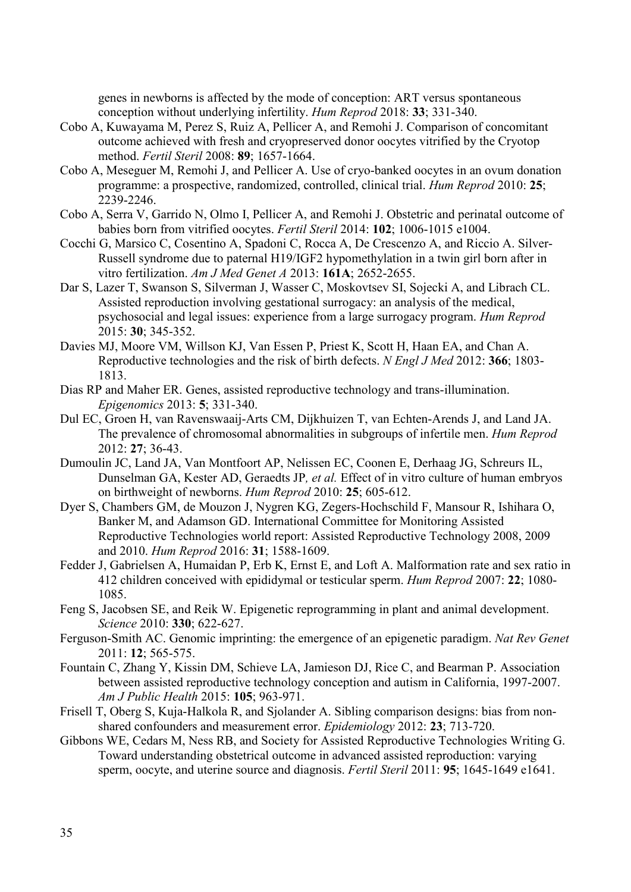genes in newborns is affected by the mode of conception: ART versus spontaneous conception without underlying infertility. *Hum Reprod* 2018: **33**; 331-340.

- Cobo A, Kuwayama M, Perez S, Ruiz A, Pellicer A, and Remohi J. Comparison of concomitant outcome achieved with fresh and cryopreserved donor oocytes vitrified by the Cryotop method. *Fertil Steril* 2008: **89**; 1657-1664.
- Cobo A, Meseguer M, Remohi J, and Pellicer A. Use of cryo-banked oocytes in an ovum donation programme: a prospective, randomized, controlled, clinical trial. *Hum Reprod* 2010: **25**; 2239-2246.
- Cobo A, Serra V, Garrido N, Olmo I, Pellicer A, and Remohi J. Obstetric and perinatal outcome of babies born from vitrified oocytes. *Fertil Steril* 2014: **102**; 1006-1015 e1004.
- Cocchi G, Marsico C, Cosentino A, Spadoni C, Rocca A, De Crescenzo A, and Riccio A. Silver-Russell syndrome due to paternal H19/IGF2 hypomethylation in a twin girl born after in vitro fertilization. *Am J Med Genet A* 2013: **161A**; 2652-2655.
- Dar S, Lazer T, Swanson S, Silverman J, Wasser C, Moskovtsev SI, Sojecki A, and Librach CL. Assisted reproduction involving gestational surrogacy: an analysis of the medical, psychosocial and legal issues: experience from a large surrogacy program. *Hum Reprod* 2015: **30**; 345-352.
- Davies MJ, Moore VM, Willson KJ, Van Essen P, Priest K, Scott H, Haan EA, and Chan A. Reproductive technologies and the risk of birth defects. *N Engl J Med* 2012: **366**; 1803- 1813.
- Dias RP and Maher ER. Genes, assisted reproductive technology and trans-illumination. *Epigenomics* 2013: **5**; 331-340.
- Dul EC, Groen H, van Ravenswaaij-Arts CM, Dijkhuizen T, van Echten-Arends J, and Land JA. The prevalence of chromosomal abnormalities in subgroups of infertile men. *Hum Reprod* 2012: **27**; 36-43.
- Dumoulin JC, Land JA, Van Montfoort AP, Nelissen EC, Coonen E, Derhaag JG, Schreurs IL, Dunselman GA, Kester AD, Geraedts JP*, et al.* Effect of in vitro culture of human embryos on birthweight of newborns. *Hum Reprod* 2010: **25**; 605-612.
- Dyer S, Chambers GM, de Mouzon J, Nygren KG, Zegers-Hochschild F, Mansour R, Ishihara O, Banker M, and Adamson GD. International Committee for Monitoring Assisted Reproductive Technologies world report: Assisted Reproductive Technology 2008, 2009 and 2010. *Hum Reprod* 2016: **31**; 1588-1609.
- Fedder J, Gabrielsen A, Humaidan P, Erb K, Ernst E, and Loft A. Malformation rate and sex ratio in 412 children conceived with epididymal or testicular sperm. *Hum Reprod* 2007: **22**; 1080- 1085.
- Feng S, Jacobsen SE, and Reik W. Epigenetic reprogramming in plant and animal development. *Science* 2010: **330**; 622-627.
- Ferguson-Smith AC. Genomic imprinting: the emergence of an epigenetic paradigm. *Nat Rev Genet* 2011: **12**; 565-575.
- Fountain C, Zhang Y, Kissin DM, Schieve LA, Jamieson DJ, Rice C, and Bearman P. Association between assisted reproductive technology conception and autism in California, 1997-2007. *Am J Public Health* 2015: **105**; 963-971.
- Frisell T, Oberg S, Kuja-Halkola R, and Sjolander A. Sibling comparison designs: bias from nonshared confounders and measurement error. *Epidemiology* 2012: **23**; 713-720.
- Gibbons WE, Cedars M, Ness RB, and Society for Assisted Reproductive Technologies Writing G. Toward understanding obstetrical outcome in advanced assisted reproduction: varying sperm, oocyte, and uterine source and diagnosis. *Fertil Steril* 2011: **95**; 1645-1649 e1641.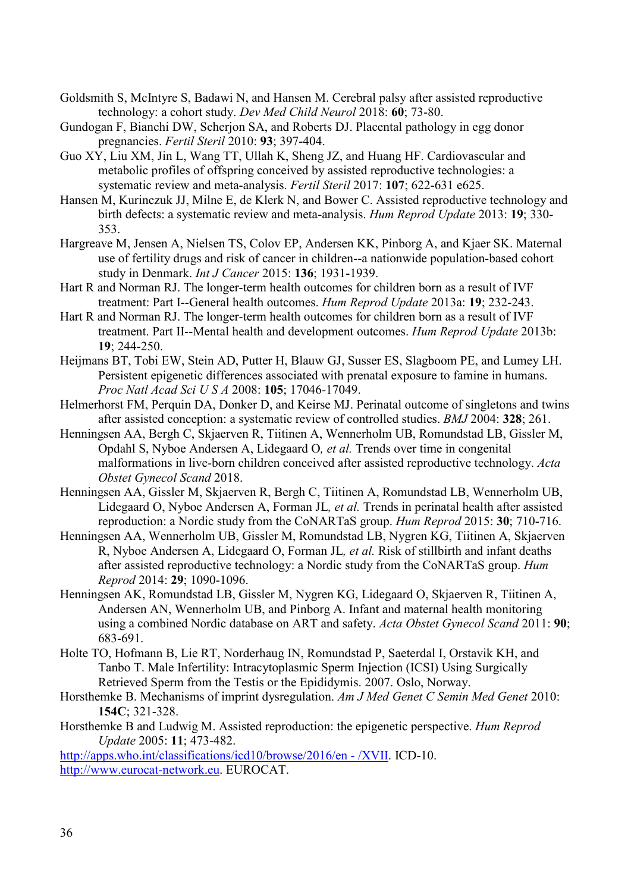- Goldsmith S, McIntyre S, Badawi N, and Hansen M. Cerebral palsy after assisted reproductive technology: a cohort study. *Dev Med Child Neurol* 2018: **60**; 73-80.
- Gundogan F, Bianchi DW, Scherjon SA, and Roberts DJ. Placental pathology in egg donor pregnancies. *Fertil Steril* 2010: **93**; 397-404.
- Guo XY, Liu XM, Jin L, Wang TT, Ullah K, Sheng JZ, and Huang HF. Cardiovascular and metabolic profiles of offspring conceived by assisted reproductive technologies: a systematic review and meta-analysis. *Fertil Steril* 2017: **107**; 622-631 e625.
- Hansen M, Kurinczuk JJ, Milne E, de Klerk N, and Bower C. Assisted reproductive technology and birth defects: a systematic review and meta-analysis. *Hum Reprod Update* 2013: **19**; 330- 353.
- Hargreave M, Jensen A, Nielsen TS, Colov EP, Andersen KK, Pinborg A, and Kjaer SK. Maternal use of fertility drugs and risk of cancer in children--a nationwide population-based cohort study in Denmark. *Int J Cancer* 2015: **136**; 1931-1939.
- Hart R and Norman RJ. The longer-term health outcomes for children born as a result of IVF treatment: Part I--General health outcomes. *Hum Reprod Update* 2013a: **19**; 232-243.
- Hart R and Norman RJ. The longer-term health outcomes for children born as a result of IVF treatment. Part II--Mental health and development outcomes. *Hum Reprod Update* 2013b: **19**; 244-250.
- Heijmans BT, Tobi EW, Stein AD, Putter H, Blauw GJ, Susser ES, Slagboom PE, and Lumey LH. Persistent epigenetic differences associated with prenatal exposure to famine in humans. *Proc Natl Acad Sci U S A* 2008: **105**; 17046-17049.
- Helmerhorst FM, Perquin DA, Donker D, and Keirse MJ. Perinatal outcome of singletons and twins after assisted conception: a systematic review of controlled studies. *BMJ* 2004: **328**; 261.
- Henningsen AA, Bergh C, Skjaerven R, Tiitinen A, Wennerholm UB, Romundstad LB, Gissler M, Opdahl S, Nyboe Andersen A, Lidegaard O*, et al.* Trends over time in congenital malformations in live-born children conceived after assisted reproductive technology. *Acta Obstet Gynecol Scand* 2018.
- Henningsen AA, Gissler M, Skjaerven R, Bergh C, Tiitinen A, Romundstad LB, Wennerholm UB, Lidegaard O, Nyboe Andersen A, Forman JL*, et al.* Trends in perinatal health after assisted reproduction: a Nordic study from the CoNARTaS group. *Hum Reprod* 2015: **30**; 710-716.
- Henningsen AA, Wennerholm UB, Gissler M, Romundstad LB, Nygren KG, Tiitinen A, Skjaerven R, Nyboe Andersen A, Lidegaard O, Forman JL*, et al.* Risk of stillbirth and infant deaths after assisted reproductive technology: a Nordic study from the CoNARTaS group. *Hum Reprod* 2014: **29**; 1090-1096.
- Henningsen AK, Romundstad LB, Gissler M, Nygren KG, Lidegaard O, Skjaerven R, Tiitinen A, Andersen AN, Wennerholm UB, and Pinborg A. Infant and maternal health monitoring using a combined Nordic database on ART and safety. *Acta Obstet Gynecol Scand* 2011: **90**; 683-691.
- Holte TO, Hofmann B, Lie RT, Norderhaug IN, Romundstad P, Saeterdal I, Orstavik KH, and Tanbo T. Male Infertility: Intracytoplasmic Sperm Injection (ICSI) Using Surgically Retrieved Sperm from the Testis or the Epididymis. 2007. Oslo, Norway.
- Horsthemke B. Mechanisms of imprint dysregulation. *Am J Med Genet C Semin Med Genet* 2010: **154C**; 321-328.
- Horsthemke B and Ludwig M. Assisted reproduction: the epigenetic perspective. *Hum Reprod Update* 2005: **11**; 473-482.

[http://apps.who.int/classifications/icd10/browse/2016/en -](http://apps.who.int/classifications/icd10/browse/2016/en#/XVII) /XVII. ICD-10. [http://www.eurocat-network.eu.](http://www.eurocat-network.eu/) EUROCAT.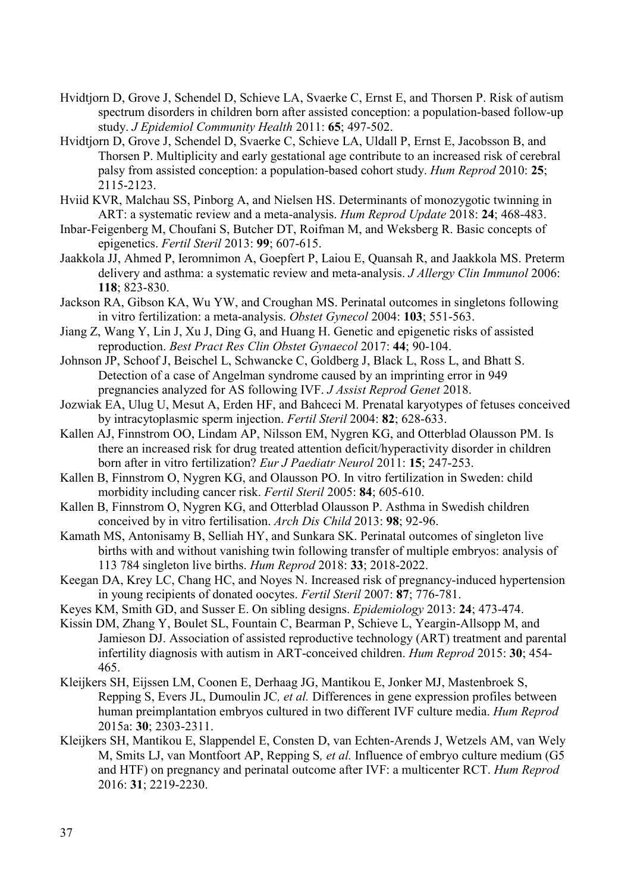- Hvidtjorn D, Grove J, Schendel D, Schieve LA, Svaerke C, Ernst E, and Thorsen P. Risk of autism spectrum disorders in children born after assisted conception: a population-based follow-up study. *J Epidemiol Community Health* 2011: **65**; 497-502.
- Hvidtjorn D, Grove J, Schendel D, Svaerke C, Schieve LA, Uldall P, Ernst E, Jacobsson B, and Thorsen P. Multiplicity and early gestational age contribute to an increased risk of cerebral palsy from assisted conception: a population-based cohort study. *Hum Reprod* 2010: **25**; 2115-2123.
- Hviid KVR, Malchau SS, Pinborg A, and Nielsen HS. Determinants of monozygotic twinning in ART: a systematic review and a meta-analysis. *Hum Reprod Update* 2018: **24**; 468-483.
- Inbar-Feigenberg M, Choufani S, Butcher DT, Roifman M, and Weksberg R. Basic concepts of epigenetics. *Fertil Steril* 2013: **99**; 607-615.
- Jaakkola JJ, Ahmed P, Ieromnimon A, Goepfert P, Laiou E, Quansah R, and Jaakkola MS. Preterm delivery and asthma: a systematic review and meta-analysis. *J Allergy Clin Immunol* 2006: **118**; 823-830.
- Jackson RA, Gibson KA, Wu YW, and Croughan MS. Perinatal outcomes in singletons following in vitro fertilization: a meta-analysis. *Obstet Gynecol* 2004: **103**; 551-563.
- Jiang Z, Wang Y, Lin J, Xu J, Ding G, and Huang H. Genetic and epigenetic risks of assisted reproduction. *Best Pract Res Clin Obstet Gynaecol* 2017: **44**; 90-104.
- Johnson JP, Schoof J, Beischel L, Schwancke C, Goldberg J, Black L, Ross L, and Bhatt S. Detection of a case of Angelman syndrome caused by an imprinting error in 949 pregnancies analyzed for AS following IVF. *J Assist Reprod Genet* 2018.
- Jozwiak EA, Ulug U, Mesut A, Erden HF, and Bahceci M. Prenatal karyotypes of fetuses conceived by intracytoplasmic sperm injection. *Fertil Steril* 2004: **82**; 628-633.
- Kallen AJ, Finnstrom OO, Lindam AP, Nilsson EM, Nygren KG, and Otterblad Olausson PM. Is there an increased risk for drug treated attention deficit/hyperactivity disorder in children born after in vitro fertilization? *Eur J Paediatr Neurol* 2011: **15**; 247-253.
- Kallen B, Finnstrom O, Nygren KG, and Olausson PO. In vitro fertilization in Sweden: child morbidity including cancer risk. *Fertil Steril* 2005: **84**; 605-610.
- Kallen B, Finnstrom O, Nygren KG, and Otterblad Olausson P. Asthma in Swedish children conceived by in vitro fertilisation. *Arch Dis Child* 2013: **98**; 92-96.
- Kamath MS, Antonisamy B, Selliah HY, and Sunkara SK. Perinatal outcomes of singleton live births with and without vanishing twin following transfer of multiple embryos: analysis of 113 784 singleton live births. *Hum Reprod* 2018: **33**; 2018-2022.
- Keegan DA, Krey LC, Chang HC, and Noyes N. Increased risk of pregnancy-induced hypertension in young recipients of donated oocytes. *Fertil Steril* 2007: **87**; 776-781.
- Keyes KM, Smith GD, and Susser E. On sibling designs. *Epidemiology* 2013: **24**; 473-474.
- Kissin DM, Zhang Y, Boulet SL, Fountain C, Bearman P, Schieve L, Yeargin-Allsopp M, and Jamieson DJ. Association of assisted reproductive technology (ART) treatment and parental infertility diagnosis with autism in ART-conceived children. *Hum Reprod* 2015: **30**; 454- 465.
- Kleijkers SH, Eijssen LM, Coonen E, Derhaag JG, Mantikou E, Jonker MJ, Mastenbroek S, Repping S, Evers JL, Dumoulin JC*, et al.* Differences in gene expression profiles between human preimplantation embryos cultured in two different IVF culture media. *Hum Reprod* 2015a: **30**; 2303-2311.
- Kleijkers SH, Mantikou E, Slappendel E, Consten D, van Echten-Arends J, Wetzels AM, van Wely M, Smits LJ, van Montfoort AP, Repping S*, et al.* Influence of embryo culture medium (G5 and HTF) on pregnancy and perinatal outcome after IVF: a multicenter RCT. *Hum Reprod* 2016: **31**; 2219-2230.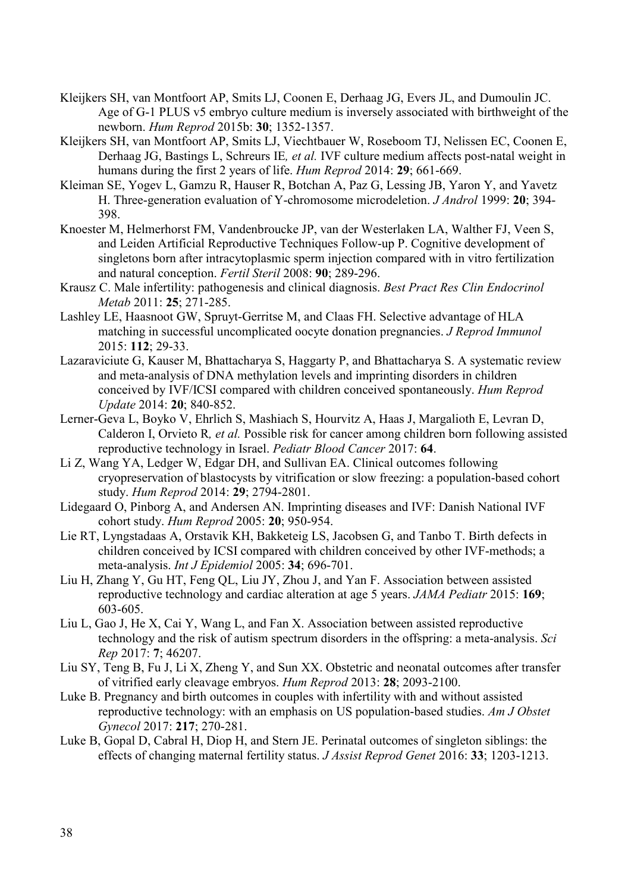- Kleijkers SH, van Montfoort AP, Smits LJ, Coonen E, Derhaag JG, Evers JL, and Dumoulin JC. Age of G-1 PLUS v5 embryo culture medium is inversely associated with birthweight of the newborn. *Hum Reprod* 2015b: **30**; 1352-1357.
- Kleijkers SH, van Montfoort AP, Smits LJ, Viechtbauer W, Roseboom TJ, Nelissen EC, Coonen E, Derhaag JG, Bastings L, Schreurs IE*, et al.* IVF culture medium affects post-natal weight in humans during the first 2 years of life. *Hum Reprod* 2014: **29**; 661-669.
- Kleiman SE, Yogev L, Gamzu R, Hauser R, Botchan A, Paz G, Lessing JB, Yaron Y, and Yavetz H. Three-generation evaluation of Y-chromosome microdeletion. *J Androl* 1999: **20**; 394- 398.
- Knoester M, Helmerhorst FM, Vandenbroucke JP, van der Westerlaken LA, Walther FJ, Veen S, and Leiden Artificial Reproductive Techniques Follow-up P. Cognitive development of singletons born after intracytoplasmic sperm injection compared with in vitro fertilization and natural conception. *Fertil Steril* 2008: **90**; 289-296.
- Krausz C. Male infertility: pathogenesis and clinical diagnosis. *Best Pract Res Clin Endocrinol Metab* 2011: **25**; 271-285.
- Lashley LE, Haasnoot GW, Spruyt-Gerritse M, and Claas FH. Selective advantage of HLA matching in successful uncomplicated oocyte donation pregnancies. *J Reprod Immunol* 2015: **112**; 29-33.
- Lazaraviciute G, Kauser M, Bhattacharya S, Haggarty P, and Bhattacharya S. A systematic review and meta-analysis of DNA methylation levels and imprinting disorders in children conceived by IVF/ICSI compared with children conceived spontaneously. *Hum Reprod Update* 2014: **20**; 840-852.
- Lerner-Geva L, Boyko V, Ehrlich S, Mashiach S, Hourvitz A, Haas J, Margalioth E, Levran D, Calderon I, Orvieto R*, et al.* Possible risk for cancer among children born following assisted reproductive technology in Israel. *Pediatr Blood Cancer* 2017: **64**.
- Li Z, Wang YA, Ledger W, Edgar DH, and Sullivan EA. Clinical outcomes following cryopreservation of blastocysts by vitrification or slow freezing: a population-based cohort study. *Hum Reprod* 2014: **29**; 2794-2801.
- Lidegaard O, Pinborg A, and Andersen AN. Imprinting diseases and IVF: Danish National IVF cohort study. *Hum Reprod* 2005: **20**; 950-954.
- Lie RT, Lyngstadaas A, Orstavik KH, Bakketeig LS, Jacobsen G, and Tanbo T. Birth defects in children conceived by ICSI compared with children conceived by other IVF-methods; a meta-analysis. *Int J Epidemiol* 2005: **34**; 696-701.
- Liu H, Zhang Y, Gu HT, Feng QL, Liu JY, Zhou J, and Yan F. Association between assisted reproductive technology and cardiac alteration at age 5 years. *JAMA Pediatr* 2015: **169**; 603-605.
- Liu L, Gao J, He X, Cai Y, Wang L, and Fan X. Association between assisted reproductive technology and the risk of autism spectrum disorders in the offspring: a meta-analysis. *Sci Rep* 2017: **7**; 46207.
- Liu SY, Teng B, Fu J, Li X, Zheng Y, and Sun XX. Obstetric and neonatal outcomes after transfer of vitrified early cleavage embryos. *Hum Reprod* 2013: **28**; 2093-2100.
- Luke B. Pregnancy and birth outcomes in couples with infertility with and without assisted reproductive technology: with an emphasis on US population-based studies. *Am J Obstet Gynecol* 2017: **217**; 270-281.
- Luke B, Gopal D, Cabral H, Diop H, and Stern JE. Perinatal outcomes of singleton siblings: the effects of changing maternal fertility status. *J Assist Reprod Genet* 2016: **33**; 1203-1213.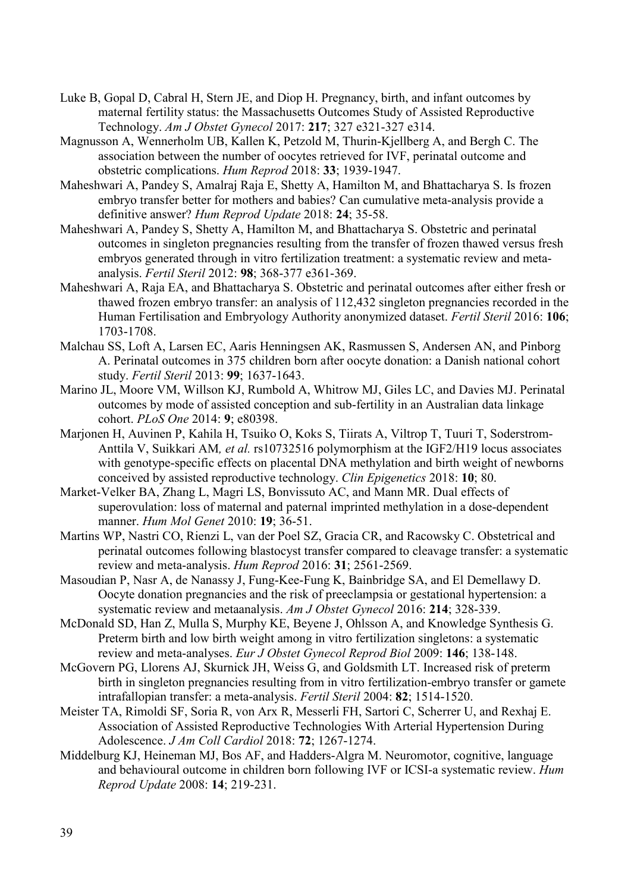- Luke B, Gopal D, Cabral H, Stern JE, and Diop H. Pregnancy, birth, and infant outcomes by maternal fertility status: the Massachusetts Outcomes Study of Assisted Reproductive Technology. *Am J Obstet Gynecol* 2017: **217**; 327 e321-327 e314.
- Magnusson A, Wennerholm UB, Kallen K, Petzold M, Thurin-Kjellberg A, and Bergh C. The association between the number of oocytes retrieved for IVF, perinatal outcome and obstetric complications. *Hum Reprod* 2018: **33**; 1939-1947.
- Maheshwari A, Pandey S, Amalraj Raja E, Shetty A, Hamilton M, and Bhattacharya S. Is frozen embryo transfer better for mothers and babies? Can cumulative meta-analysis provide a definitive answer? *Hum Reprod Update* 2018: **24**; 35-58.
- Maheshwari A, Pandey S, Shetty A, Hamilton M, and Bhattacharya S. Obstetric and perinatal outcomes in singleton pregnancies resulting from the transfer of frozen thawed versus fresh embryos generated through in vitro fertilization treatment: a systematic review and metaanalysis. *Fertil Steril* 2012: **98**; 368-377 e361-369.
- Maheshwari A, Raja EA, and Bhattacharya S. Obstetric and perinatal outcomes after either fresh or thawed frozen embryo transfer: an analysis of 112,432 singleton pregnancies recorded in the Human Fertilisation and Embryology Authority anonymized dataset. *Fertil Steril* 2016: **106**; 1703-1708.
- Malchau SS, Loft A, Larsen EC, Aaris Henningsen AK, Rasmussen S, Andersen AN, and Pinborg A. Perinatal outcomes in 375 children born after oocyte donation: a Danish national cohort study. *Fertil Steril* 2013: **99**; 1637-1643.
- Marino JL, Moore VM, Willson KJ, Rumbold A, Whitrow MJ, Giles LC, and Davies MJ. Perinatal outcomes by mode of assisted conception and sub-fertility in an Australian data linkage cohort. *PLoS One* 2014: **9**; e80398.
- Marjonen H, Auvinen P, Kahila H, Tsuiko O, Koks S, Tiirats A, Viltrop T, Tuuri T, Soderstrom-Anttila V, Suikkari AM*, et al.* rs10732516 polymorphism at the IGF2/H19 locus associates with genotype-specific effects on placental DNA methylation and birth weight of newborns conceived by assisted reproductive technology. *Clin Epigenetics* 2018: **10**; 80.
- Market-Velker BA, Zhang L, Magri LS, Bonvissuto AC, and Mann MR. Dual effects of superovulation: loss of maternal and paternal imprinted methylation in a dose-dependent manner. *Hum Mol Genet* 2010: **19**; 36-51.
- Martins WP, Nastri CO, Rienzi L, van der Poel SZ, Gracia CR, and Racowsky C. Obstetrical and perinatal outcomes following blastocyst transfer compared to cleavage transfer: a systematic review and meta-analysis. *Hum Reprod* 2016: **31**; 2561-2569.
- Masoudian P, Nasr A, de Nanassy J, Fung-Kee-Fung K, Bainbridge SA, and El Demellawy D. Oocyte donation pregnancies and the risk of preeclampsia or gestational hypertension: a systematic review and metaanalysis. *Am J Obstet Gynecol* 2016: **214**; 328-339.
- McDonald SD, Han Z, Mulla S, Murphy KE, Beyene J, Ohlsson A, and Knowledge Synthesis G. Preterm birth and low birth weight among in vitro fertilization singletons: a systematic review and meta-analyses. *Eur J Obstet Gynecol Reprod Biol* 2009: **146**; 138-148.
- McGovern PG, Llorens AJ, Skurnick JH, Weiss G, and Goldsmith LT. Increased risk of preterm birth in singleton pregnancies resulting from in vitro fertilization-embryo transfer or gamete intrafallopian transfer: a meta-analysis. *Fertil Steril* 2004: **82**; 1514-1520.
- Meister TA, Rimoldi SF, Soria R, von Arx R, Messerli FH, Sartori C, Scherrer U, and Rexhaj E. Association of Assisted Reproductive Technologies With Arterial Hypertension During Adolescence. *J Am Coll Cardiol* 2018: **72**; 1267-1274.
- Middelburg KJ, Heineman MJ, Bos AF, and Hadders-Algra M. Neuromotor, cognitive, language and behavioural outcome in children born following IVF or ICSI-a systematic review. *Hum Reprod Update* 2008: **14**; 219-231.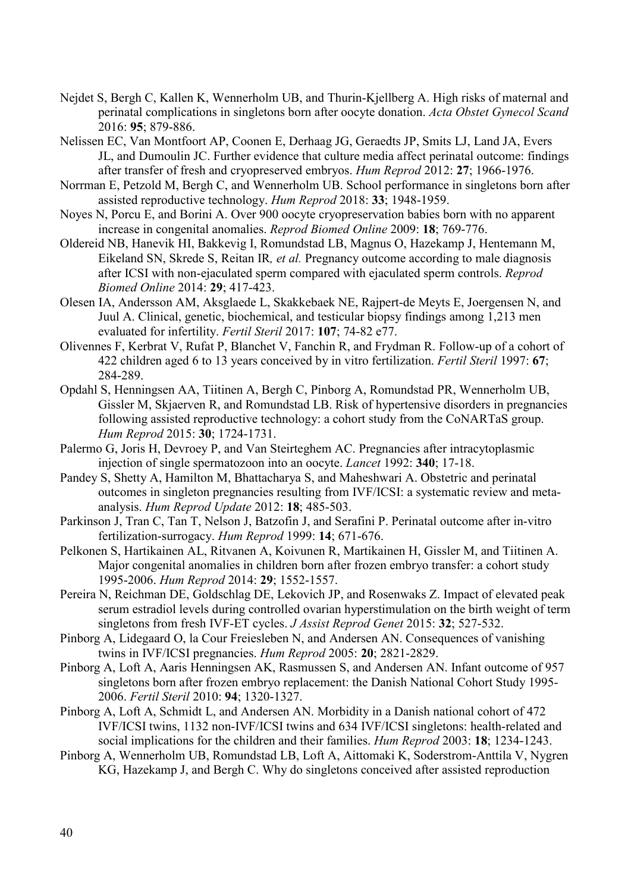- Nejdet S, Bergh C, Kallen K, Wennerholm UB, and Thurin-Kjellberg A. High risks of maternal and perinatal complications in singletons born after oocyte donation. *Acta Obstet Gynecol Scand* 2016: **95**; 879-886.
- Nelissen EC, Van Montfoort AP, Coonen E, Derhaag JG, Geraedts JP, Smits LJ, Land JA, Evers JL, and Dumoulin JC. Further evidence that culture media affect perinatal outcome: findings after transfer of fresh and cryopreserved embryos. *Hum Reprod* 2012: **27**; 1966-1976.
- Norrman E, Petzold M, Bergh C, and Wennerholm UB. School performance in singletons born after assisted reproductive technology. *Hum Reprod* 2018: **33**; 1948-1959.
- Noyes N, Porcu E, and Borini A. Over 900 oocyte cryopreservation babies born with no apparent increase in congenital anomalies. *Reprod Biomed Online* 2009: **18**; 769-776.
- Oldereid NB, Hanevik HI, Bakkevig I, Romundstad LB, Magnus O, Hazekamp J, Hentemann M, Eikeland SN, Skrede S, Reitan IR*, et al.* Pregnancy outcome according to male diagnosis after ICSI with non-ejaculated sperm compared with ejaculated sperm controls. *Reprod Biomed Online* 2014: **29**; 417-423.
- Olesen IA, Andersson AM, Aksglaede L, Skakkebaek NE, Rajpert-de Meyts E, Joergensen N, and Juul A. Clinical, genetic, biochemical, and testicular biopsy findings among 1,213 men evaluated for infertility. *Fertil Steril* 2017: **107**; 74-82 e77.
- Olivennes F, Kerbrat V, Rufat P, Blanchet V, Fanchin R, and Frydman R. Follow-up of a cohort of 422 children aged 6 to 13 years conceived by in vitro fertilization. *Fertil Steril* 1997: **67**; 284-289.
- Opdahl S, Henningsen AA, Tiitinen A, Bergh C, Pinborg A, Romundstad PR, Wennerholm UB, Gissler M, Skjaerven R, and Romundstad LB. Risk of hypertensive disorders in pregnancies following assisted reproductive technology: a cohort study from the CoNARTaS group. *Hum Reprod* 2015: **30**; 1724-1731.
- Palermo G, Joris H, Devroey P, and Van Steirteghem AC. Pregnancies after intracytoplasmic injection of single spermatozoon into an oocyte. *Lancet* 1992: **340**; 17-18.
- Pandey S, Shetty A, Hamilton M, Bhattacharya S, and Maheshwari A. Obstetric and perinatal outcomes in singleton pregnancies resulting from IVF/ICSI: a systematic review and metaanalysis. *Hum Reprod Update* 2012: **18**; 485-503.
- Parkinson J, Tran C, Tan T, Nelson J, Batzofin J, and Serafini P. Perinatal outcome after in-vitro fertilization-surrogacy. *Hum Reprod* 1999: **14**; 671-676.
- Pelkonen S, Hartikainen AL, Ritvanen A, Koivunen R, Martikainen H, Gissler M, and Tiitinen A. Major congenital anomalies in children born after frozen embryo transfer: a cohort study 1995-2006. *Hum Reprod* 2014: **29**; 1552-1557.
- Pereira N, Reichman DE, Goldschlag DE, Lekovich JP, and Rosenwaks Z. Impact of elevated peak serum estradiol levels during controlled ovarian hyperstimulation on the birth weight of term singletons from fresh IVF-ET cycles. *J Assist Reprod Genet* 2015: **32**; 527-532.
- Pinborg A, Lidegaard O, la Cour Freiesleben N, and Andersen AN. Consequences of vanishing twins in IVF/ICSI pregnancies. *Hum Reprod* 2005: **20**; 2821-2829.
- Pinborg A, Loft A, Aaris Henningsen AK, Rasmussen S, and Andersen AN. Infant outcome of 957 singletons born after frozen embryo replacement: the Danish National Cohort Study 1995- 2006. *Fertil Steril* 2010: **94**; 1320-1327.
- Pinborg A, Loft A, Schmidt L, and Andersen AN. Morbidity in a Danish national cohort of 472 IVF/ICSI twins, 1132 non-IVF/ICSI twins and 634 IVF/ICSI singletons: health-related and social implications for the children and their families. *Hum Reprod* 2003: **18**; 1234-1243.
- Pinborg A, Wennerholm UB, Romundstad LB, Loft A, Aittomaki K, Soderstrom-Anttila V, Nygren KG, Hazekamp J, and Bergh C. Why do singletons conceived after assisted reproduction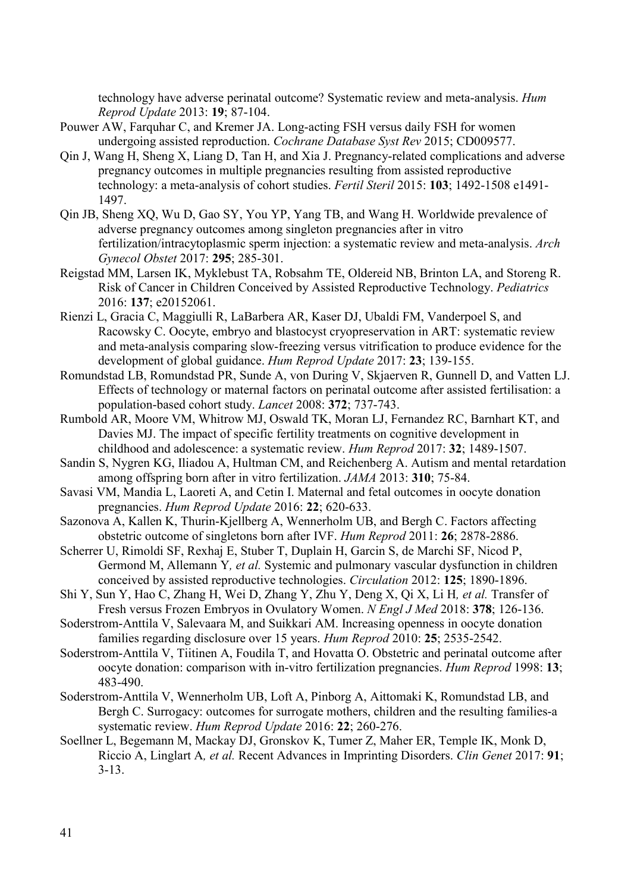technology have adverse perinatal outcome? Systematic review and meta-analysis. *Hum Reprod Update* 2013: **19**; 87-104.

- Pouwer AW, Farquhar C, and Kremer JA. Long-acting FSH versus daily FSH for women undergoing assisted reproduction. *Cochrane Database Syst Rev* 2015; CD009577.
- Qin J, Wang H, Sheng X, Liang D, Tan H, and Xia J. Pregnancy-related complications and adverse pregnancy outcomes in multiple pregnancies resulting from assisted reproductive technology: a meta-analysis of cohort studies. *Fertil Steril* 2015: **103**; 1492-1508 e1491- 1497.
- Qin JB, Sheng XQ, Wu D, Gao SY, You YP, Yang TB, and Wang H. Worldwide prevalence of adverse pregnancy outcomes among singleton pregnancies after in vitro fertilization/intracytoplasmic sperm injection: a systematic review and meta-analysis. *Arch Gynecol Obstet* 2017: **295**; 285-301.
- Reigstad MM, Larsen IK, Myklebust TA, Robsahm TE, Oldereid NB, Brinton LA, and Storeng R. Risk of Cancer in Children Conceived by Assisted Reproductive Technology. *Pediatrics* 2016: **137**; e20152061.
- Rienzi L, Gracia C, Maggiulli R, LaBarbera AR, Kaser DJ, Ubaldi FM, Vanderpoel S, and Racowsky C. Oocyte, embryo and blastocyst cryopreservation in ART: systematic review and meta-analysis comparing slow-freezing versus vitrification to produce evidence for the development of global guidance. *Hum Reprod Update* 2017: **23**; 139-155.
- Romundstad LB, Romundstad PR, Sunde A, von During V, Skjaerven R, Gunnell D, and Vatten LJ. Effects of technology or maternal factors on perinatal outcome after assisted fertilisation: a population-based cohort study. *Lancet* 2008: **372**; 737-743.
- Rumbold AR, Moore VM, Whitrow MJ, Oswald TK, Moran LJ, Fernandez RC, Barnhart KT, and Davies MJ. The impact of specific fertility treatments on cognitive development in childhood and adolescence: a systematic review. *Hum Reprod* 2017: **32**; 1489-1507.
- Sandin S, Nygren KG, Iliadou A, Hultman CM, and Reichenberg A. Autism and mental retardation among offspring born after in vitro fertilization. *JAMA* 2013: **310**; 75-84.
- Savasi VM, Mandia L, Laoreti A, and Cetin I. Maternal and fetal outcomes in oocyte donation pregnancies. *Hum Reprod Update* 2016: **22**; 620-633.
- Sazonova A, Kallen K, Thurin-Kjellberg A, Wennerholm UB, and Bergh C. Factors affecting obstetric outcome of singletons born after IVF. *Hum Reprod* 2011: **26**; 2878-2886.
- Scherrer U, Rimoldi SF, Rexhaj E, Stuber T, Duplain H, Garcin S, de Marchi SF, Nicod P, Germond M, Allemann Y*, et al.* Systemic and pulmonary vascular dysfunction in children conceived by assisted reproductive technologies. *Circulation* 2012: **125**; 1890-1896.
- Shi Y, Sun Y, Hao C, Zhang H, Wei D, Zhang Y, Zhu Y, Deng X, Qi X, Li H*, et al.* Transfer of Fresh versus Frozen Embryos in Ovulatory Women. *N Engl J Med* 2018: **378**; 126-136.
- Soderstrom-Anttila V, Salevaara M, and Suikkari AM. Increasing openness in oocyte donation families regarding disclosure over 15 years. *Hum Reprod* 2010: **25**; 2535-2542.
- Soderstrom-Anttila V, Tiitinen A, Foudila T, and Hovatta O. Obstetric and perinatal outcome after oocyte donation: comparison with in-vitro fertilization pregnancies. *Hum Reprod* 1998: **13**; 483-490.
- Soderstrom-Anttila V, Wennerholm UB, Loft A, Pinborg A, Aittomaki K, Romundstad LB, and Bergh C. Surrogacy: outcomes for surrogate mothers, children and the resulting families-a systematic review. *Hum Reprod Update* 2016: **22**; 260-276.
- Soellner L, Begemann M, Mackay DJ, Gronskov K, Tumer Z, Maher ER, Temple IK, Monk D, Riccio A, Linglart A*, et al.* Recent Advances in Imprinting Disorders. *Clin Genet* 2017: **91**; 3-13.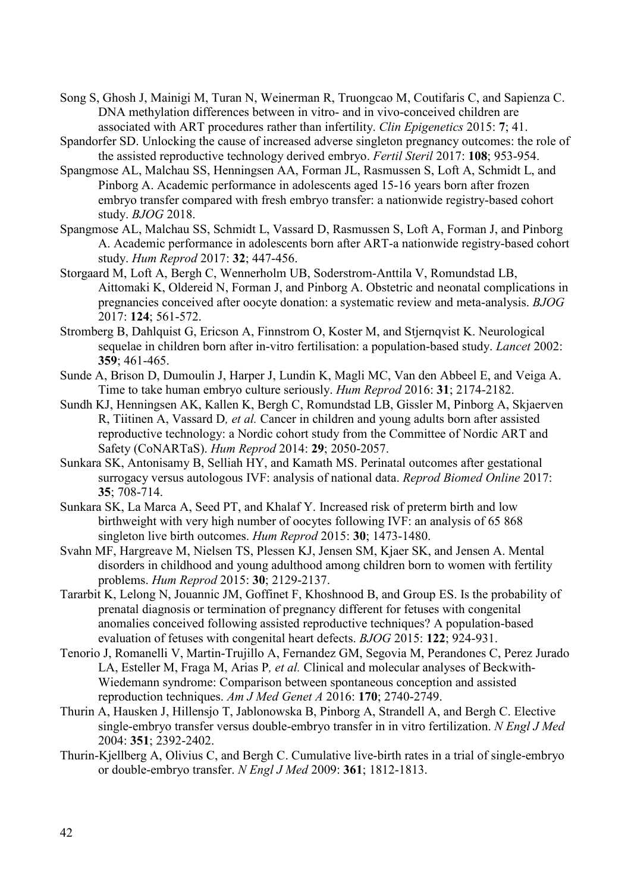- Song S, Ghosh J, Mainigi M, Turan N, Weinerman R, Truongcao M, Coutifaris C, and Sapienza C. DNA methylation differences between in vitro- and in vivo-conceived children are associated with ART procedures rather than infertility. *Clin Epigenetics* 2015: **7**; 41.
- Spandorfer SD. Unlocking the cause of increased adverse singleton pregnancy outcomes: the role of the assisted reproductive technology derived embryo. *Fertil Steril* 2017: **108**; 953-954.
- Spangmose AL, Malchau SS, Henningsen AA, Forman JL, Rasmussen S, Loft A, Schmidt L, and Pinborg A. Academic performance in adolescents aged 15-16 years born after frozen embryo transfer compared with fresh embryo transfer: a nationwide registry-based cohort study. *BJOG* 2018.
- Spangmose AL, Malchau SS, Schmidt L, Vassard D, Rasmussen S, Loft A, Forman J, and Pinborg A. Academic performance in adolescents born after ART-a nationwide registry-based cohort study. *Hum Reprod* 2017: **32**; 447-456.
- Storgaard M, Loft A, Bergh C, Wennerholm UB, Soderstrom-Anttila V, Romundstad LB, Aittomaki K, Oldereid N, Forman J, and Pinborg A. Obstetric and neonatal complications in pregnancies conceived after oocyte donation: a systematic review and meta-analysis. *BJOG* 2017: **124**; 561-572.
- Stromberg B, Dahlquist G, Ericson A, Finnstrom O, Koster M, and Stjernqvist K. Neurological sequelae in children born after in-vitro fertilisation: a population-based study. *Lancet* 2002: **359**; 461-465.
- Sunde A, Brison D, Dumoulin J, Harper J, Lundin K, Magli MC, Van den Abbeel E, and Veiga A. Time to take human embryo culture seriously. *Hum Reprod* 2016: **31**; 2174-2182.
- Sundh KJ, Henningsen AK, Kallen K, Bergh C, Romundstad LB, Gissler M, Pinborg A, Skjaerven R, Tiitinen A, Vassard D*, et al.* Cancer in children and young adults born after assisted reproductive technology: a Nordic cohort study from the Committee of Nordic ART and Safety (CoNARTaS). *Hum Reprod* 2014: **29**; 2050-2057.
- Sunkara SK, Antonisamy B, Selliah HY, and Kamath MS. Perinatal outcomes after gestational surrogacy versus autologous IVF: analysis of national data. *Reprod Biomed Online* 2017: **35**; 708-714.
- Sunkara SK, La Marca A, Seed PT, and Khalaf Y. Increased risk of preterm birth and low birthweight with very high number of oocytes following IVF: an analysis of 65 868 singleton live birth outcomes. *Hum Reprod* 2015: **30**; 1473-1480.
- Svahn MF, Hargreave M, Nielsen TS, Plessen KJ, Jensen SM, Kjaer SK, and Jensen A. Mental disorders in childhood and young adulthood among children born to women with fertility problems. *Hum Reprod* 2015: **30**; 2129-2137.
- Tararbit K, Lelong N, Jouannic JM, Goffinet F, Khoshnood B, and Group ES. Is the probability of prenatal diagnosis or termination of pregnancy different for fetuses with congenital anomalies conceived following assisted reproductive techniques? A population-based evaluation of fetuses with congenital heart defects. *BJOG* 2015: **122**; 924-931.
- Tenorio J, Romanelli V, Martin-Trujillo A, Fernandez GM, Segovia M, Perandones C, Perez Jurado LA, Esteller M, Fraga M, Arias P*, et al.* Clinical and molecular analyses of Beckwith-Wiedemann syndrome: Comparison between spontaneous conception and assisted reproduction techniques. *Am J Med Genet A* 2016: **170**; 2740-2749.
- Thurin A, Hausken J, Hillensjo T, Jablonowska B, Pinborg A, Strandell A, and Bergh C. Elective single-embryo transfer versus double-embryo transfer in in vitro fertilization. *N Engl J Med* 2004: **351**; 2392-2402.
- Thurin-Kjellberg A, Olivius C, and Bergh C. Cumulative live-birth rates in a trial of single-embryo or double-embryo transfer. *N Engl J Med* 2009: **361**; 1812-1813.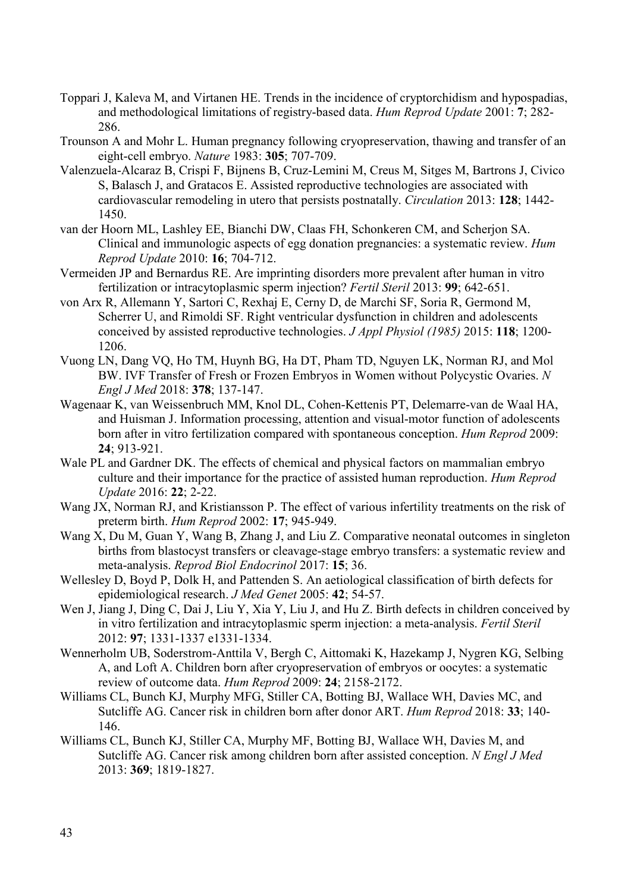- Toppari J, Kaleva M, and Virtanen HE. Trends in the incidence of cryptorchidism and hypospadias, and methodological limitations of registry-based data. *Hum Reprod Update* 2001: **7**; 282- 286.
- Trounson A and Mohr L. Human pregnancy following cryopreservation, thawing and transfer of an eight-cell embryo. *Nature* 1983: **305**; 707-709.
- Valenzuela-Alcaraz B, Crispi F, Bijnens B, Cruz-Lemini M, Creus M, Sitges M, Bartrons J, Civico S, Balasch J, and Gratacos E. Assisted reproductive technologies are associated with cardiovascular remodeling in utero that persists postnatally. *Circulation* 2013: **128**; 1442- 1450.
- van der Hoorn ML, Lashley EE, Bianchi DW, Claas FH, Schonkeren CM, and Scherjon SA. Clinical and immunologic aspects of egg donation pregnancies: a systematic review. *Hum Reprod Update* 2010: **16**; 704-712.
- Vermeiden JP and Bernardus RE. Are imprinting disorders more prevalent after human in vitro fertilization or intracytoplasmic sperm injection? *Fertil Steril* 2013: **99**; 642-651.
- von Arx R, Allemann Y, Sartori C, Rexhaj E, Cerny D, de Marchi SF, Soria R, Germond M, Scherrer U, and Rimoldi SF. Right ventricular dysfunction in children and adolescents conceived by assisted reproductive technologies. *J Appl Physiol (1985)* 2015: **118**; 1200- 1206.
- Vuong LN, Dang VQ, Ho TM, Huynh BG, Ha DT, Pham TD, Nguyen LK, Norman RJ, and Mol BW. IVF Transfer of Fresh or Frozen Embryos in Women without Polycystic Ovaries. *N Engl J Med* 2018: **378**; 137-147.
- Wagenaar K, van Weissenbruch MM, Knol DL, Cohen-Kettenis PT, Delemarre-van de Waal HA, and Huisman J. Information processing, attention and visual-motor function of adolescents born after in vitro fertilization compared with spontaneous conception. *Hum Reprod* 2009: **24**; 913-921.
- Wale PL and Gardner DK. The effects of chemical and physical factors on mammalian embryo culture and their importance for the practice of assisted human reproduction. *Hum Reprod Update* 2016: **22**; 2-22.
- Wang JX, Norman RJ, and Kristiansson P. The effect of various infertility treatments on the risk of preterm birth. *Hum Reprod* 2002: **17**; 945-949.
- Wang X, Du M, Guan Y, Wang B, Zhang J, and Liu Z. Comparative neonatal outcomes in singleton births from blastocyst transfers or cleavage-stage embryo transfers: a systematic review and meta-analysis. *Reprod Biol Endocrinol* 2017: **15**; 36.
- Wellesley D, Boyd P, Dolk H, and Pattenden S. An aetiological classification of birth defects for epidemiological research. *J Med Genet* 2005: **42**; 54-57.
- Wen J, Jiang J, Ding C, Dai J, Liu Y, Xia Y, Liu J, and Hu Z. Birth defects in children conceived by in vitro fertilization and intracytoplasmic sperm injection: a meta-analysis. *Fertil Steril* 2012: **97**; 1331-1337 e1331-1334.
- Wennerholm UB, Soderstrom-Anttila V, Bergh C, Aittomaki K, Hazekamp J, Nygren KG, Selbing A, and Loft A. Children born after cryopreservation of embryos or oocytes: a systematic review of outcome data. *Hum Reprod* 2009: **24**; 2158-2172.
- Williams CL, Bunch KJ, Murphy MFG, Stiller CA, Botting BJ, Wallace WH, Davies MC, and Sutcliffe AG. Cancer risk in children born after donor ART. *Hum Reprod* 2018: **33**; 140- 146.
- Williams CL, Bunch KJ, Stiller CA, Murphy MF, Botting BJ, Wallace WH, Davies M, and Sutcliffe AG. Cancer risk among children born after assisted conception. *N Engl J Med* 2013: **369**; 1819-1827.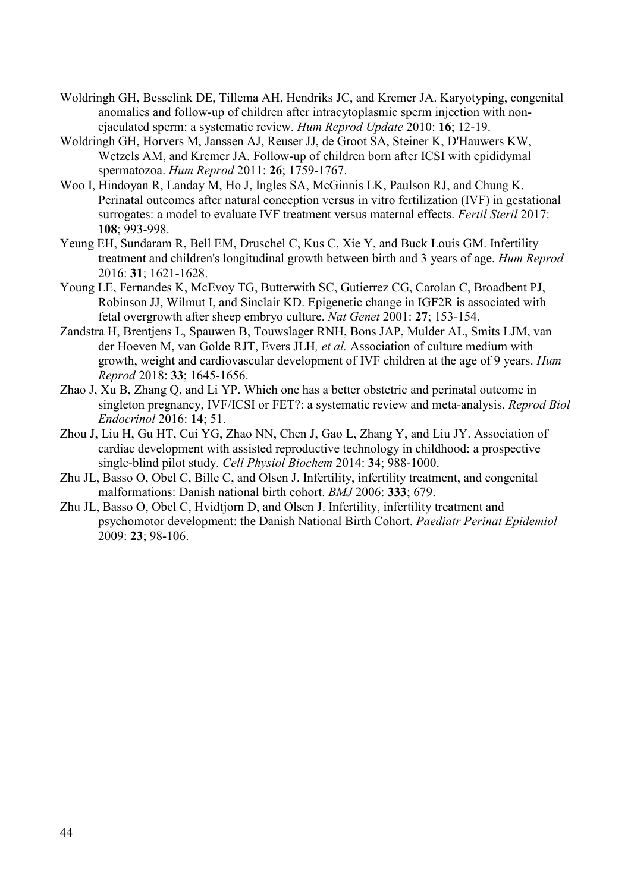- Woldringh GH, Besselink DE, Tillema AH, Hendriks JC, and Kremer JA. Karyotyping, congenital anomalies and follow-up of children after intracytoplasmic sperm injection with nonejaculated sperm: a systematic review. *Hum Reprod Update* 2010: **16**; 12-19.
- Woldringh GH, Horvers M, Janssen AJ, Reuser JJ, de Groot SA, Steiner K, D'Hauwers KW, Wetzels AM, and Kremer JA. Follow-up of children born after ICSI with epididymal spermatozoa. *Hum Reprod* 2011: **26**; 1759-1767.
- Woo I, Hindoyan R, Landay M, Ho J, Ingles SA, McGinnis LK, Paulson RJ, and Chung K. Perinatal outcomes after natural conception versus in vitro fertilization (IVF) in gestational surrogates: a model to evaluate IVF treatment versus maternal effects. *Fertil Steril* 2017: **108**; 993-998.
- Yeung EH, Sundaram R, Bell EM, Druschel C, Kus C, Xie Y, and Buck Louis GM. Infertility treatment and children's longitudinal growth between birth and 3 years of age. *Hum Reprod* 2016: **31**; 1621-1628.
- Young LE, Fernandes K, McEvoy TG, Butterwith SC, Gutierrez CG, Carolan C, Broadbent PJ, Robinson JJ, Wilmut I, and Sinclair KD. Epigenetic change in IGF2R is associated with fetal overgrowth after sheep embryo culture. *Nat Genet* 2001: **27**; 153-154.
- Zandstra H, Brentjens L, Spauwen B, Touwslager RNH, Bons JAP, Mulder AL, Smits LJM, van der Hoeven M, van Golde RJT, Evers JLH*, et al.* Association of culture medium with growth, weight and cardiovascular development of IVF children at the age of 9 years. *Hum Reprod* 2018: **33**; 1645-1656.
- Zhao J, Xu B, Zhang Q, and Li YP. Which one has a better obstetric and perinatal outcome in singleton pregnancy, IVF/ICSI or FET?: a systematic review and meta-analysis. *Reprod Biol Endocrinol* 2016: **14**; 51.
- Zhou J, Liu H, Gu HT, Cui YG, Zhao NN, Chen J, Gao L, Zhang Y, and Liu JY. Association of cardiac development with assisted reproductive technology in childhood: a prospective single-blind pilot study. *Cell Physiol Biochem* 2014: **34**; 988-1000.
- Zhu JL, Basso O, Obel C, Bille C, and Olsen J. Infertility, infertility treatment, and congenital malformations: Danish national birth cohort. *BMJ* 2006: **333**; 679.
- Zhu JL, Basso O, Obel C, Hvidtiorn D, and Olsen J, Infertility, infertility treatment and psychomotor development: the Danish National Birth Cohort. *Paediatr Perinat Epidemiol* 2009: **23**; 98-106.